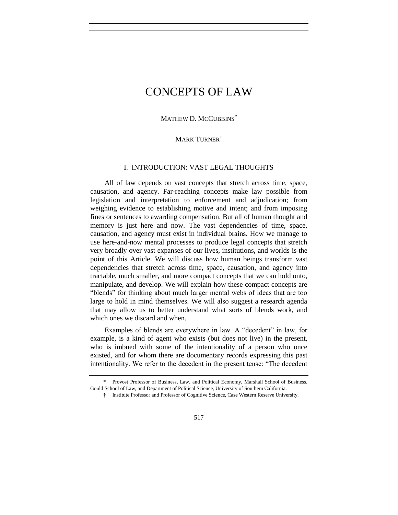MATHEW D. MCCUBBINS<sup>\*</sup>

# MARK TURNER<sup>†</sup>

# I. INTRODUCTION: VAST LEGAL THOUGHTS

All of law depends on vast concepts that stretch across time, space, causation, and agency. Far-reaching concepts make law possible from legislation and interpretation to enforcement and adjudication; from weighing evidence to establishing motive and intent; and from imposing fines or sentences to awarding compensation. But all of human thought and memory is just here and now. The vast dependencies of time, space, causation, and agency must exist in individual brains. How we manage to use here-and-now mental processes to produce legal concepts that stretch very broadly over vast expanses of our lives, institutions, and worlds is the point of this Article. We will discuss how human beings transform vast dependencies that stretch across time, space, causation, and agency into tractable, much smaller, and more compact concepts that we can hold onto, manipulate, and develop. We will explain how these compact concepts are "blends" for thinking about much larger mental webs of ideas that are too large to hold in mind themselves. We will also suggest a research agenda that may allow us to better understand what sorts of blends work, and which ones we discard and when.

Examples of blends are everywhere in law. A "decedent" in law, for example, is a kind of agent who exists (but does not live) in the present, who is imbued with some of the intentionality of a person who once existed, and for whom there are documentary records expressing this past intentionality. We refer to the decedent in the present tense: "The decedent

<sup>\*</sup> Provost Professor of Business, Law, and Political Economy, Marshall School of Business, Gould School of Law, and Department of Political Science, University of Southern California.

<sup>†</sup> Institute Professor and Professor of Cognitive Science, Case Western Reserve University.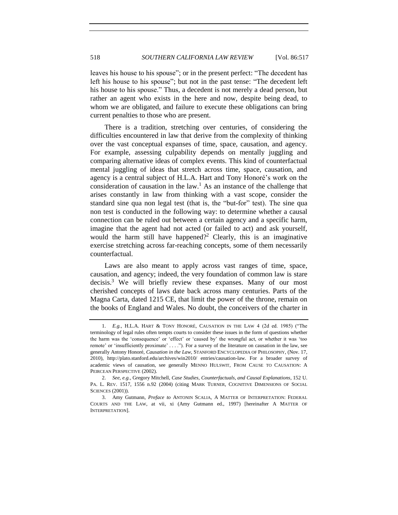leaves his house to his spouse"; or in the present perfect: "The decedent has left his house to his spouse"; but not in the past tense: "The decedent left his house to his spouse." Thus, a decedent is not merely a dead person, but rather an agent who exists in the here and now, despite being dead, to whom we are obligated, and failure to execute these obligations can bring current penalties to those who are present.

There is a tradition, stretching over centuries, of considering the difficulties encountered in law that derive from the complexity of thinking over the vast conceptual expanses of time, space, causation, and agency. For example, assessing culpability depends on mentally juggling and comparing alternative ideas of complex events. This kind of counterfactual mental juggling of ideas that stretch across time, space, causation, and agency is a central subject of H.L.A. Hart and Tony Honoré's work on the consideration of causation in the law.<sup>1</sup> As an instance of the challenge that arises constantly in law from thinking with a vast scope, consider the standard sine qua non legal test (that is, the "but-for" test). The sine qua non test is conducted in the following way: to determine whether a causal connection can be ruled out between a certain agency and a specific harm, imagine that the agent had not acted (or failed to act) and ask yourself, would the harm still have happened?<sup>2</sup> Clearly, this is an imaginative exercise stretching across far-reaching concepts, some of them necessarily counterfactual.

Laws are also meant to apply across vast ranges of time, space, causation, and agency; indeed, the very foundation of common law is stare decisis. <sup>3</sup> We will briefly review these expanses. Many of our most cherished concepts of laws date back across many centuries. Parts of the Magna Carta, dated 1215 CE, that limit the power of the throne, remain on the books of England and Wales. No doubt, the conceivers of the charter in

<sup>1.</sup> *E.g.*, H.L.A. HART & TONY HONORÉ, CAUSATION IN THE LAW 4 (2d ed. 1985) ("The terminology of legal rules often tempts courts to consider these issues in the form of questions whether the harm was the 'consequence' or 'effect' or 'caused by' the wrongful act, or whether it was 'too remote' or 'insufficiently proximate' . . . ."). For a survey of the literature on causation in the law, see generally Antony Honoré, *Causation in the Law*, STANFORD ENCYCLOPEDIA OF PHILOSOPHY, (Nov. 17, 2010), http://plato.stanford.edu/archives/win2010/ entries/causation-law. For a broader survey of academic views of causation, see generally MENNO HULSWIT, FROM CAUSE TO CAUSATION: A PEIRCEAN PERSPECTIVE (2002).

<sup>2.</sup> *See, e.g.*, Gregory Mitchell, *Case Studies, Counterfactuals, and Causal Explanations*, 152 U. PA. L. REV. 1517, 1556 n.92 (2004) (citing MARK TURNER, COGNITIVE DIMENSIONS OF SOCIAL SCIENCES (2001)).

<sup>3.</sup> Amy Gutmann, *Preface to* ANTONIN SCALIA, A MATTER OF INTERPRETATION: FEDERAL COURTS AND THE LAW, at vii, xi (Amy Gutmann ed., 1997) [hereinafter A MATTER OF INTERPRETATION].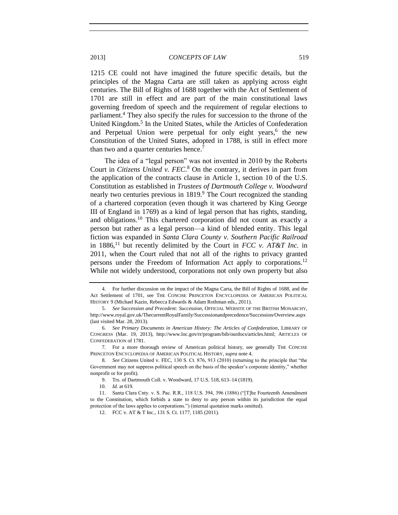<span id="page-2-0"></span>1215 CE could not have imagined the future specific details, but the principles of the Magna Carta are still taken as applying across eight centuries. The Bill of Rights of 1688 together with the Act of Settlement of 1701 are still in effect and are part of the main constitutional laws governing freedom of speech and the requirement of regular elections to parliament.<sup>4</sup> They also specify the rules for succession to the throne of the United Kingdom.<sup>5</sup> In the United States, while the Articles of Confederation and Perpetual Union were perpetual for only eight years,<sup>6</sup> the new Constitution of the United States, adopted in 1788, is still in effect more than two and a quarter centuries hence.<sup>7</sup>

<span id="page-2-1"></span>The idea of a "legal person" was not invented in 2010 by the Roberts Court in *Citizens United v. FEC*. <sup>8</sup> On the contrary, it derives in part from the application of the contracts clause in Article 1, section 10 of the U.S. Constitution as established in *Trustees of Dartmouth College v. Woodward*  nearly two centuries previous in 1819.<sup>9</sup> The Court recognized the standing of a chartered corporation (even though it was chartered by King George III of England in 1769) as a kind of legal person that has rights, standing, and obligations.<sup>10</sup> This chartered corporation did not count as exactly a person but rather as a legal person—a kind of blended entity. This legal fiction was expanded in *Santa Clara County v. Southern Pacific Railroad* in 1886,<sup>11</sup> but recently delimited by the Court in *FCC v. AT&T Inc.* in 2011, when the Court ruled that not all of the rights to privacy granted persons under the Freedom of Information Act apply to corporations.<sup>12</sup> While not widely understood, corporations not only own property but also

<sup>4.</sup> For further discussion on the impact of the Magna Carta, the Bill of Rights of 1688, and the Act Settlement of 1701, see THE CONCISE PRINCETON ENCYCLOPEDIA OF AMERICAN POLITICAL HISTORY 9 (Michael Kazin, Rebecca Edwards & Adam Rothman eds., 2011).

<sup>5.</sup> *See Succession and Precedent: Succession*, OFFICIAL WEBSITE OF THE BRITISH MONARCHY, http://www.royal.gov.uk/ThecurrentRoyalFamily/Successionandprecedence/Succession/Overview.aspx (last visited Mar. 28, 2013).

<sup>6.</sup> *See Primary Documents in American History: The Articles of Confederation*, LIBRARY OF CONGRESS (Mar. 19, 2013), http://www.loc.gov/rr/program/bib/ourdocs/articles.html; ARTICLES OF CONFEDERATION of 1781.

<sup>7.</sup> For a more thorough review of American political history, see generally THE CONCISE PRINCETON ENCYCLOPEDIA OF AMERICAN POLITICAL HISTORY, *supra* not[e 4.](#page-2-0)

<sup>8.</sup> *See* Citizens United v. FEC, 130 S. Ct. 876, 913 (2010) (returning to the principle that "the Government may not suppress political speech on the basis of the speaker's corporate identity," whether nonprofit or for profit).

<sup>9.</sup> Trs. of Dartmouth Coll. v. Woodward, 17 U.S. 518, 613–14 (1819).

<sup>10.</sup> *Id.* at 619.

<sup>11.</sup> Santa Clara Cnty. v. S. Pac. R.R., 118 U.S. 394, 396 (1886) ("[T]he Fourteenth Amendment to the Constitution, which forbids a state to deny to any person within its jurisdiction the equal protection of the laws applies to corporations.") (internal quotation marks omitted).

<sup>12.</sup> FCC v. AT & T Inc., 131 S. Ct. 1177, 1185 (2011).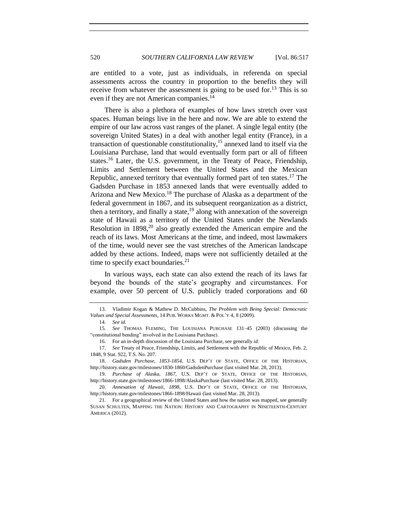are entitled to a vote, just as individuals, in referenda on special assessments across the country in proportion to the benefits they will receive from whatever the assessment is going to be used for.<sup>13</sup> This is so even if they are not American companies.<sup>14</sup>

There is also a plethora of examples of how laws stretch over vast spaces. Human beings live in the here and now. We are able to extend the empire of our law across vast ranges of the planet. A single legal entity (the sovereign United States) in a deal with another legal entity (France), in a transaction of questionable constitutionality, $15$  annexed land to itself via the Louisiana Purchase, land that would eventually form part or all of fifteen states.<sup>16</sup> Later, the U.S. government, in the Treaty of Peace, Friendship, Limits and Settlement between the United States and the Mexican Republic, annexed territory that eventually formed part of ten states.<sup>17</sup> The Gadsden Purchase in 1853 annexed lands that were eventually added to Arizona and New Mexico.<sup>18</sup> The purchase of Alaska as a department of the federal government in 1867, and its subsequent reorganization as a district, then a territory, and finally a state, <sup>19</sup> along with annexation of the sovereign state of Hawaii as a territory of the United States under the Newlands Resolution in 1898,<sup>20</sup> also greatly extended the American empire and the reach of its laws. Most Americans at the time, and indeed, most lawmakers of the time, would never see the vast stretches of the American landscape added by these actions. Indeed, maps were not sufficiently detailed at the time to specify exact boundaries. $^{21}$ 

In various ways, each state can also extend the reach of its laws far beyond the bounds of the state's geography and circumstances. For example, over 50 percent of U.S. publicly traded corporations and 60

<sup>13.</sup> Vladimir Kogan & Mathew D. McCubbins, *The Problem with Being Special: Democratic Values and Special Assessments*, 14 PUB. WORKS MGMT. & POL'Y 4, 8 (2009).

<sup>14.</sup> *See id.* 

<sup>15.</sup> *See* THOMAS FLEMING, THE LOUISIANA PURCHASE 131–45 (2003) (discussing the "constitutional bending" involved in the Louisiana Purchase).

<sup>16.</sup> For an in-depth discussion of the Louisiana Purchase, see generally *id.*

<sup>17.</sup> *See* Treaty of Peace, Friendship, Limits, and Settlement with the Republic of Mexico, Feb. 2, 1848, 9 Stat. 922, T.S. No. 207.

<sup>18.</sup> *Gadsden Purchase, 1853-1854*, U.S. DEP'T OF STATE, OFFICE OF THE HISTORIAN, http://history.state.gov/milestones/1830-1860/GadsdenPurchase (last visited Mar. 28, 2013).

<sup>19.</sup> *Purchase of Alaska, 1867*, U.S. DEP'T OF STATE, OFFICE OF THE HISTORIAN, http://history.state.gov/milestones/1866-1898/AlaskaPurchase (last visited Mar. 28, 2013).

<sup>20.</sup> *Annexation of Hawaii, 1898*, U.S. DEP'T OF STATE, OFFICE OF THE HISTORIAN, http://history.state.gov/milestones/1866-1898/Hawaii (last visited Mar. 28, 2013).

<sup>21.</sup> For a geographical review of the United States and how the nation was mapped, see generally SUSAN SCHULTEN, MAPPING THE NATION: HISTORY AND CARTOGRAPHY IN NINETEENTH-CENTURY AMERICA (2012).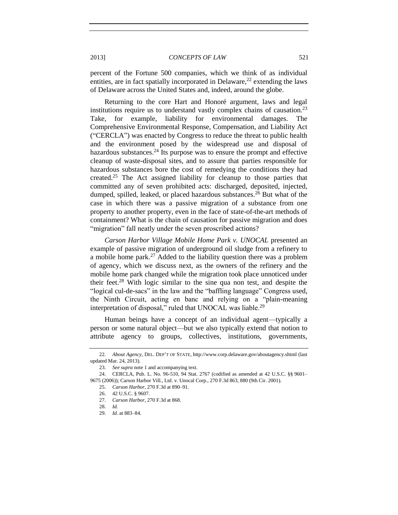percent of the Fortune 500 companies, which we think of as individual entities, are in fact spatially incorporated in Delaware,  $^{22}$  extending the laws of Delaware across the United States and, indeed, around the globe.

Returning to the core Hart and Honoré argument, laws and legal institutions require us to understand vastly complex chains of causation.<sup>23</sup> Take, for example, liability for environmental damages. The Comprehensive Environmental Response, Compensation, and Liability Act ("CERCLA") was enacted by Congress to reduce the threat to public health and the environment posed by the widespread use and disposal of hazardous substances.<sup>24</sup> Its purpose was to ensure the prompt and effective cleanup of waste-disposal sites, and to assure that parties responsible for hazardous substances bore the cost of remedying the conditions they had created.<sup>25</sup> The Act assigned liability for cleanup to those parties that committed any of seven prohibited acts: discharged, deposited, injected, dumped, spilled, leaked, or placed hazardous substances.<sup>26</sup> But what of the case in which there was a passive migration of a substance from one property to another property, even in the face of state-of-the-art methods of containment? What is the chain of causation for passive migration and does "migration" fall neatly under the seven proscribed actions?

*Carson Harbor Village Mobile Home Park v. UNOCAL* presented an example of passive migration of underground oil sludge from a refinery to a mobile home park.<sup>27</sup> Added to the liability question there was a problem of agency, which we discuss next, as the owners of the refinery and the mobile home park changed while the migration took place unnoticed under their feet.<sup>28</sup> With logic similar to the sine qua non test, and despite the "logical cul-de-sacs" in the law and the "baffling language" Congress used, the Ninth Circuit, acting en banc and relying on a "plain-meaning interpretation of disposal," ruled that UNOCAL was liable.<sup>29</sup>

Human beings have a concept of an individual agent—typically a person or some natural object—but we also typically extend that notion to attribute agency to groups, collectives, institutions, governments,

<sup>22.</sup> *About Agency*, DEL. DEP'T OF STATE, http://www.corp.delaware.gov/aboutagency.shtml (last updated Mar. 24, 2013).

<sup>23.</sup> *See supra* note 1 and accompanying text.

<sup>24.</sup> CERCLA, Pub. L. No. 96-510, 94 Stat. 2767 (codified as amended at 42 U.S.C. §§ 9601– 9675 (2006)); Carson Harbor Vill., Ltd. v. Unocal Corp., 270 F.3d 863, 880 (9th Cir. 2001).

<sup>25.</sup> *Carson Harbor*, 270 F.3d at 890–91.

<sup>26.</sup> 42 U.S.C. § 9607.

<sup>27.</sup> *Carson Harbor*, 270 F.3d at 868.

<sup>28.</sup> *Id.*

<sup>29.</sup> *Id.* at 883–84.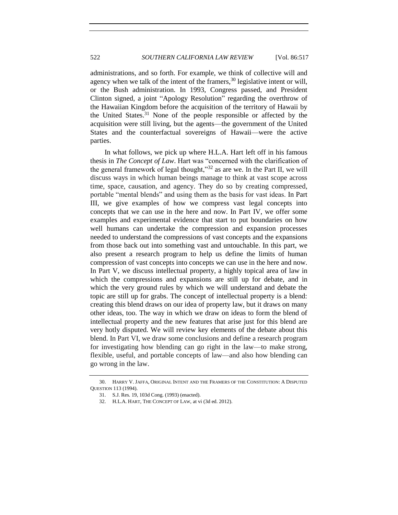administrations, and so forth. For example, we think of collective will and agency when we talk of the intent of the framers,  $30$  legislative intent or will, or the Bush administration. In 1993, Congress passed, and President Clinton signed, a joint "Apology Resolution" regarding the overthrow of the Hawaiian Kingdom before the acquisition of the territory of Hawaii by the United States.<sup>31</sup> None of the people responsible or affected by the acquisition were still living, but the agents—the government of the United States and the counterfactual sovereigns of Hawaii—were the active parties.

In what follows, we pick up where H.L.A. Hart left off in his famous thesis in *The Concept of Law*. Hart was "concerned with the clarification of the general framework of legal thought,"<sup>32</sup> as are we. In the Part II, we will discuss ways in which human beings manage to think at vast scope across time, space, causation, and agency. They do so by creating compressed, portable "mental blends" and using them as the basis for vast ideas. In Part III, we give examples of how we compress vast legal concepts into concepts that we can use in the here and now. In Part IV, we offer some examples and experimental evidence that start to put boundaries on how well humans can undertake the compression and expansion processes needed to understand the compressions of vast concepts and the expansions from those back out into something vast and untouchable. In this part, we also present a research program to help us define the limits of human compression of vast concepts into concepts we can use in the here and now. In Part V, we discuss intellectual property, a highly topical area of law in which the compressions and expansions are still up for debate, and in which the very ground rules by which we will understand and debate the topic are still up for grabs. The concept of intellectual property is a blend: creating this blend draws on our idea of property law, but it draws on many other ideas, too. The way in which we draw on ideas to form the blend of intellectual property and the new features that arise just for this blend are very hotly disputed. We will review key elements of the debate about this blend. In Part VI, we draw some conclusions and define a research program for investigating how blending can go right in the law—to make strong, flexible, useful, and portable concepts of law—and also how blending can go wrong in the law.

<sup>30.</sup> HARRY V. JAFFA, ORIGINAL INTENT AND THE FRAMERS OF THE CONSTITUTION: A DISPUTED QUESTION 113 (1994).

<sup>31.</sup> S.J. Res. 19, 103d Cong. (1993) (enacted).

<sup>32.</sup> H.L.A. HART, THE CONCEPT OF LAW, at vi (3d ed. 2012).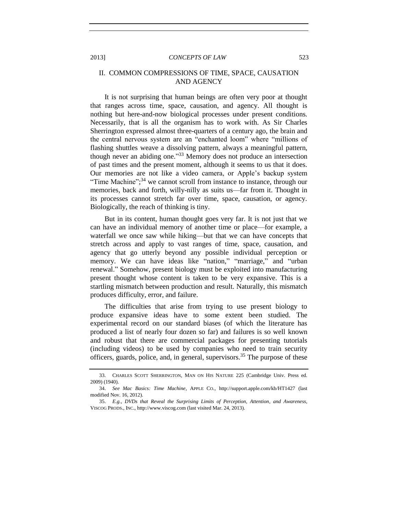# II. COMMON COMPRESSIONS OF TIME, SPACE, CAUSATION AND AGENCY

It is not surprising that human beings are often very poor at thought that ranges across time, space, causation, and agency. All thought is nothing but here-and-now biological processes under present conditions. Necessarily, that is all the organism has to work with. As Sir Charles Sherrington expressed almost three-quarters of a century ago, the brain and the central nervous system are an "enchanted loom" where "millions of flashing shuttles weave a dissolving pattern, always a meaningful pattern, though never an abiding one."<sup>33</sup> Memory does not produce an intersection of past times and the present moment, although it seems to us that it does. Our memories are not like a video camera, or Apple's backup system "Time Machine";<sup>34</sup> we cannot scroll from instance to instance, through our memories, back and forth, willy-nilly as suits us—far from it. Thought in its processes cannot stretch far over time, space, causation, or agency. Biologically, the reach of thinking is tiny.

But in its content, human thought goes very far. It is not just that we can have an individual memory of another time or place—for example, a waterfall we once saw while hiking—but that we can have concepts that stretch across and apply to vast ranges of time, space, causation, and agency that go utterly beyond any possible individual perception or memory. We can have ideas like "nation," "marriage," and "urban renewal." Somehow, present biology must be exploited into manufacturing present thought whose content is taken to be very expansive. This is a startling mismatch between production and result. Naturally, this mismatch produces difficulty, error, and failure.

The difficulties that arise from trying to use present biology to produce expansive ideas have to some extent been studied. The experimental record on our standard biases (of which the literature has produced a list of nearly four dozen so far) and failures is so well known and robust that there are commercial packages for presenting tutorials (including videos) to be used by companies who need to train security officers, guards, police, and, in general, supervisors.<sup>35</sup> The purpose of these

<sup>33.</sup> CHARLES SCOTT SHERRINGTON, MAN ON HIS NATURE 225 (Cambridge Univ. Press ed. 2009) (1940).

<sup>34.</sup> *See Mac Basics: Time Machine*, APPLE CO., http://support.apple.com/kb/HT1427 (last modified Nov. 16, 2012).

<sup>35.</sup> *E.g.*, *DVDs that Reveal the Surprising Limits of Perception, Attention, and Awareness*, VISCOG PRODS., INC., http://www.viscog.com (last visited Mar. 24, 2013).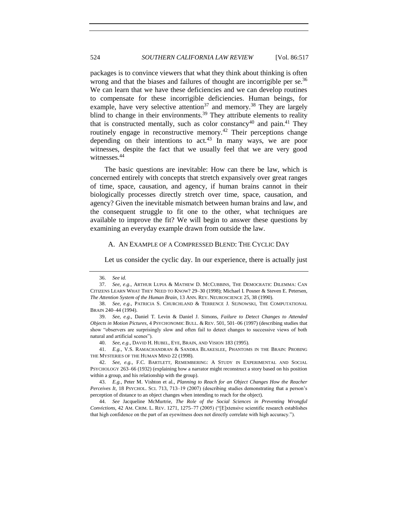packages is to convince viewers that what they think about thinking is often wrong and that the biases and failures of thought are incorrigible per se.<sup>36</sup> We can learn that we have these deficiencies and we can develop routines to compensate for these incorrigible deficiencies. Human beings, for example, have very selective attention<sup>37</sup> and memory.<sup>38</sup> They are largely blind to change in their environments.<sup>39</sup> They attribute elements to reality that is constructed mentally, such as color constancy<sup>40</sup> and pain.<sup>41</sup> They routinely engage in reconstructive memory.<sup>42</sup> Their perceptions change depending on their intentions to  $act^{43}$ . In many ways, we are poor witnesses, despite the fact that we usually feel that we are very good witnesses.<sup>44</sup>

The basic questions are inevitable: How can there be law, which is concerned entirely with concepts that stretch expansively over great ranges of time, space, causation, and agency, if human brains cannot in their biologically processes directly stretch over time, space, causation, and agency? Given the inevitable mismatch between human brains and law, and the consequent struggle to fit one to the other, what techniques are available to improve the fit? We will begin to answer these questions by examining an everyday example drawn from outside the law.

# A. AN EXAMPLE OF A COMPRESSED BLEND: THE CYCLIC DAY

Let us consider the cyclic day. In our experience, there is actually just

<sup>36.</sup> *See id.*

<sup>37.</sup> *See, e.g.*, ARTHUR LUPIA & MATHEW D. MCCUBBINS, THE DEMOCRATIC DILEMMA: CAN CITIZENS LEARN WHAT THEY NEED TO KNOW? 29–30 (1998); Michael I. Posner & Steven E. Petersen, *The Attention System of the Human Brain*, 13 ANN. REV. NEUROSCIENCE 25, 38 (1990).

<sup>38.</sup> *See, e.g.*, PATRICIA S. CHURCHLAND & TERRENCE J. SEJNOWSKI, THE COMPUTATIONAL BRAIN 240–44 (1994).

<sup>39.</sup> *See, e.g.*, Daniel T. Levin & Daniel J. Simons, *Failure to Detect Changes to Attended Objects in Motion Pictures*, 4 PSYCHONOMIC BULL. & REV. 501, 501–06 (1997) (describing studies that show "observers are surprisingly slow and often fail to detect changes to successive views of both natural and artificial scenes").

<sup>40.</sup> *See, e.g.*, DAVID H. HUBEL, EYE, BRAIN, AND VISION 183 (1995).

<sup>41.</sup> *E.g.*, V.S. RAMACHANDRAN & SANDRA BLAKESLEE, PHANTOMS IN THE BRAIN: PROBING THE MYSTERIES OF THE HUMAN MIND 22 (1998).

<sup>42.</sup> *See, e.g.*, F.C. BARTLETT, REMEMBERING: A STUDY IN EXPERIMENTAL AND SOCIAL PSYCHOLOGY 263–66 (1932) (explaining how a narrator might reconstruct a story based on his position within a group, and his relationship with the group).

<sup>43.</sup> *E.g.*, Peter M. Vishton et al., *Planning to Reach for an Object Changes How the Reacher Perceives It*, 18 PSYCHOL. SCI. 713, 713–19 (2007) (describing studies demonstrating that a person's perception of distance to an object changes when intending to reach for the object).

<sup>44.</sup> *See* Jacqueline McMurtrie, *The Role of the Social Sciences in Preventing Wrongful Convictions*, 42 AM. CRIM. L. REV. 1271, 1275–77 (2005) ("[E]xtensive scientific research establishes that high confidence on the part of an eyewitness does not directly correlate with high accuracy.").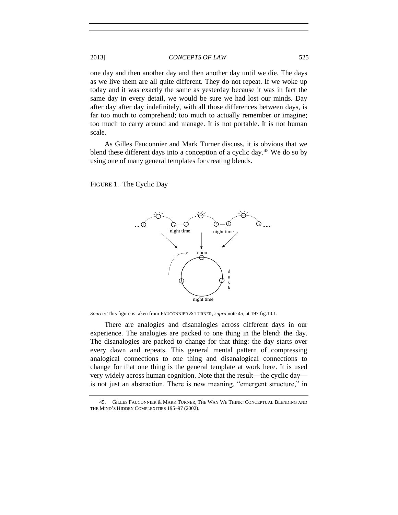one day and then another day and then another day until we die. The days as we live them are all quite different. They do not repeat. If we woke up today and it was exactly the same as yesterday because it was in fact the same day in every detail, we would be sure we had lost our minds. Day after day after day indefinitely, with all those differences between days, is far too much to comprehend; too much to actually remember or imagine; too much to carry around and manage. It is not portable. It is not human scale.

As Gilles Fauconnier and Mark Turner discuss, it is obvious that we blend these different days into a conception of a cyclic day.<sup>45</sup> We do so by using one of many general templates for creating blends.

FIGURE 1. The Cyclic Day

<span id="page-8-0"></span>

*Source*: This figure is taken from FAUCONNIER & TURNER, *supra* not[e 45,](#page-8-0) at 197 fig.10.1.

There are analogies and disanalogies across different days in our experience. The analogies are packed to one thing in the blend: the day. The disanalogies are packed to change for that thing: the day starts over every dawn and repeats. This general mental pattern of compressing analogical connections to one thing and disanalogical connections to change for that one thing is the general template at work here. It is used very widely across human cognition. Note that the result—the cyclic day is not just an abstraction. There is new meaning, "emergent structure," in

<sup>45.</sup> GILLES FAUCONNIER & MARK TURNER, THE WAY WE THINK: CONCEPTUAL BLENDING AND THE MIND'S HIDDEN COMPLEXITIES 195–97 (2002).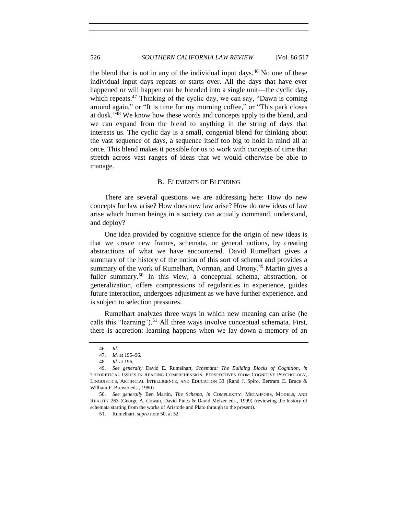the blend that is not in any of the individual input days. $46$  No one of these individual input days repeats or starts over. All the days that have ever happened or will happen can be blended into a single unit—the cyclic day, which repeats.<sup>47</sup> Thinking of the cyclic day, we can say, "Dawn is coming around again," or "It is time for my morning coffee," or "This park closes at dusk."<sup>48</sup> We know how these words and concepts apply to the blend, and we can expand from the blend to anything in the string of days that interests us. The cyclic day is a small, congenial blend for thinking about the vast sequence of days, a sequence itself too big to hold in mind all at once. This blend makes it possible for us to work with concepts of time that stretch across vast ranges of ideas that we would otherwise be able to manage.

# B. ELEMENTS OF BLENDING

There are several questions we are addressing here: How do new concepts for law arise? How does new law arise? How do new ideas of law arise which human beings in a society can actually command, understand, and deploy?

One idea provided by cognitive science for the origin of new ideas is that we create new frames, schemata, or general notions, by creating abstractions of what we have encountered. David Rumelhart gives a summary of the history of the notion of this sort of schema and provides a summary of the work of Rumelhart, Norman, and Ortony.<sup>49</sup> Martin gives a fuller summary.<sup>50</sup> In this view, a conceptual schema, abstraction, or generalization, offers compressions of regularities in experience, guides future interaction, undergoes adjustment as we have further experience, and is subject to selection pressures.

Rumelhart analyzes three ways in which new meaning can arise (he calls this "learning").<sup>51</sup> All three ways involve conceptual schemata. First, there is accretion: learning happens when we lay down a memory of an

<sup>46.</sup> *Id.*

<sup>47.</sup> *Id.* at 195–96.

<sup>48.</sup> *Id.* at 196.

<sup>49.</sup> *See generally* David E. Rumelhart, *Schemata: The Building Blocks of Cognition*, *in* THEORETICAL ISSUES IN READING COMPREHENSION: PERSPECTIVES FROM COGNITIVE PSYCHOLOGY, LINGUISTICS, ARTIFICIAL INTELLIGENCE, AND EDUCATION 33 (Rand J. Spiro, Bertram C. Bruce & William F. Brewer eds., 1980).

<sup>50.</sup> *See generally* Ben Martin, *The Schema*, *in* COMPLEXITY: METAHPORS, MODELS, AND REALITY 263 (George A. Cowan, David Pines & David Melzer eds., 1999) (reviewing the history of schemata starting from the works of Aristotle and Plato through to the present).

<sup>51.</sup> Rumelhart, *supra* note 50, at 52.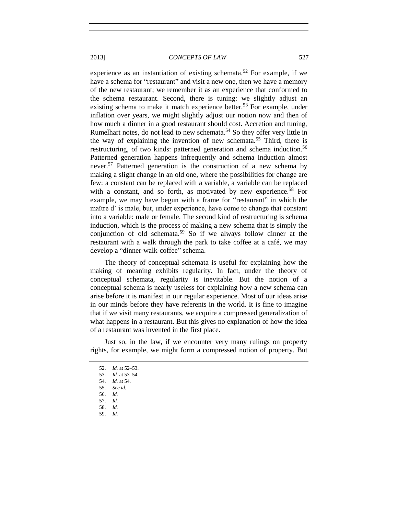experience as an instantiation of existing schemata.<sup>52</sup> For example, if we have a schema for "restaurant" and visit a new one, then we have a memory of the new restaurant; we remember it as an experience that conformed to the schema restaurant. Second, there is tuning: we slightly adjust an existing schema to make it match experience better.<sup>53</sup> For example, under inflation over years, we might slightly adjust our notion now and then of how much a dinner in a good restaurant should cost. Accretion and tuning, Rumelhart notes, do not lead to new schemata.<sup>54</sup> So they offer very little in the way of explaining the invention of new schemata.<sup>55</sup> Third, there is restructuring, of two kinds: patterned generation and schema induction.<sup>56</sup> Patterned generation happens infrequently and schema induction almost never.<sup>57</sup> Patterned generation is the construction of a new schema by making a slight change in an old one, where the possibilities for change are few: a constant can be replaced with a variable, a variable can be replaced with a constant, and so forth, as motivated by new experience.<sup>58</sup> For example, we may have begun with a frame for "restaurant" in which the maître d' is male, but, under experience, have come to change that constant into a variable: male or female. The second kind of restructuring is schema induction, which is the process of making a new schema that is simply the conjunction of old schemata.<sup>59</sup> So if we always follow dinner at the restaurant with a walk through the park to take coffee at a café, we may develop a "dinner-walk-coffee" schema.

The theory of conceptual schemata is useful for explaining how the making of meaning exhibits regularity. In fact, under the theory of conceptual schemata, regularity is inevitable. But the notion of a conceptual schema is nearly useless for explaining how a new schema can arise before it is manifest in our regular experience. Most of our ideas arise in our minds before they have referents in the world. It is fine to imagine that if we visit many restaurants, we acquire a compressed generalization of what happens in a restaurant. But this gives no explanation of how the idea of a restaurant was invented in the first place.

Just so, in the law, if we encounter very many rulings on property rights, for example, we might form a compressed notion of property. But

59. *Id.*

<sup>52.</sup> *Id.* at 52–53.

<sup>53.</sup> *Id.* at 53–54.

<sup>54.</sup> *Id.* at 54.

<sup>55.</sup> *See id.*

<sup>56.</sup> *Id.*

<sup>57.</sup> *Id.*

<sup>58.</sup> *Id.*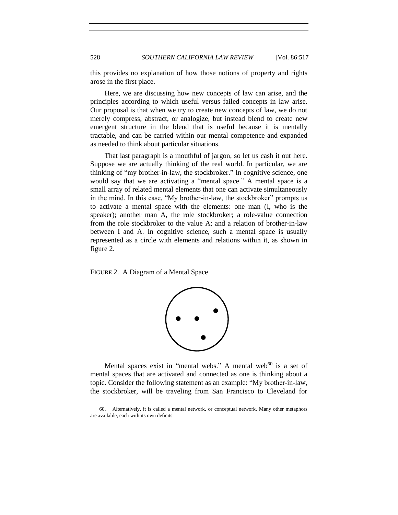528 *SOUTHERN CALIFORNIA LAW REVIEW* [Vol. 86:517

this provides no explanation of how those notions of property and rights arose in the first place.

Here, we are discussing how new concepts of law can arise, and the principles according to which useful versus failed concepts in law arise. Our proposal is that when we try to create new concepts of law, we do not merely compress, abstract, or analogize, but instead blend to create new emergent structure in the blend that is useful because it is mentally tractable, and can be carried within our mental competence and expanded as needed to think about particular situations.

That last paragraph is a mouthful of jargon, so let us cash it out here. Suppose we are actually thinking of the real world. In particular, we are thinking of "my brother-in-law, the stockbroker." In cognitive science, one would say that we are activating a "mental space." A mental space is a small array of related mental elements that one can activate simultaneously in the mind. In this case, "My brother-in-law, the stockbroker" prompts us to activate a mental space with the elements: one man (I, who is the speaker); another man A, the role stockbroker; a role-value connection from the role stockbroker to the value A; and a relation of brother-in-law between I and A. In cognitive science, such a mental space is usually represented as a circle with elements and relations within it, as shown in figure 2.

FIGURE 2. A Diagram of a Mental Space



Mental spaces exist in "mental webs." A mental web<sup>60</sup> is a set of mental spaces that are activated and connected as one is thinking about a topic. Consider the following statement as an example: "My brother-in-law, the stockbroker, will be traveling from San Francisco to Cleveland for

<sup>60.</sup> Alternatively, it is called a mental network, or conceptual network. Many other metaphors are available, each with its own deficits.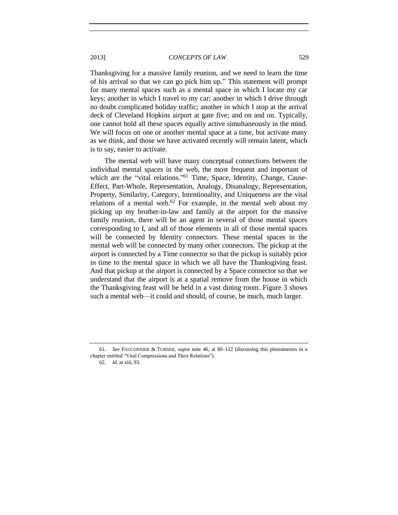Thanksgiving for a massive family reunion, and we need to learn the time of his arrival so that we can go pick him up." This statement will prompt for many mental spaces such as a mental space in which I locate my car keys; another in which I travel to my car; another in which I drive through no doubt complicated holiday traffic; another in which I stop at the arrival deck of Cleveland Hopkins airport at gate five; and on and on. Typically, one cannot hold all these spaces equally active simultaneously in the mind. We will focus on one or another mental space at a time, but activate many as we think, and those we have activated recently will remain latent, which is to say, easier to activate.

The mental web will have many conceptual connections between the individual mental spaces in the web, the most frequent and important of which are the "vital relations."<sup>61</sup> Time, Space, Identity, Change, Cause-Effect, Part-Whole, Representation, Analogy, Disanalogy, Representation, Property, Similarity, Category, Intentionality, and Uniqueness are the vital relations of a mental web. $62$  For example, in the mental web about my picking up my brother-in-law and family at the airport for the massive family reunion, there will be an agent in several of those mental spaces corresponding to I, and all of those elements in all of those mental spaces will be connected by Identity connectors. These mental spaces in the mental web will be connected by many other connectors. The pickup at the airport is connected by a Time connector so that the pickup is suitably prior in time to the mental space in which we all have the Thanksgiving feast. And that pickup at the airport is connected by a Space connector so that we understand that the airport is at a spatial remove from the house in which the Thanksgiving feast will be held in a vast dining room. Figure 3 shows such a mental web—it could and should, of course, be much, much larger.

<sup>61.</sup> *See* FAUCONNIER & TURNER, *supra* note 46, at 89–112 (discussing this phenomenon in a chapter entitled "Vital Compressions and Their Relations").

<sup>62.</sup> *Id.* at xiii, 93.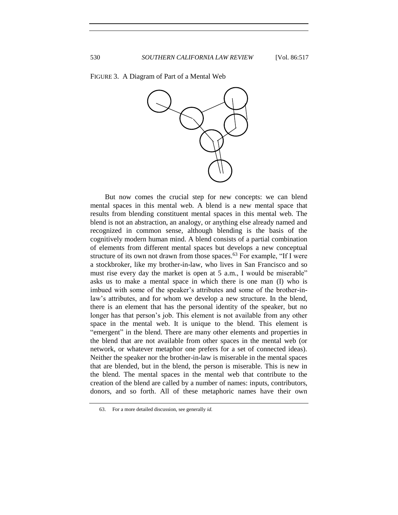FIGURE 3. A Diagram of Part of a Mental Web



But now comes the crucial step for new concepts: we can blend mental spaces in this mental web. A blend is a new mental space that results from blending constituent mental spaces in this mental web. The blend is not an abstraction, an analogy, or anything else already named and recognized in common sense, although blending is the basis of the cognitively modern human mind. A blend consists of a partial combination of elements from different mental spaces but develops a new conceptual structure of its own not drawn from those spaces.<sup>63</sup> For example, "If I were a stockbroker, like my brother-in-law, who lives in San Francisco and so must rise every day the market is open at 5 a.m., I would be miserable" asks us to make a mental space in which there is one man (I) who is imbued with some of the speaker's attributes and some of the brother-inlaw's attributes, and for whom we develop a new structure. In the blend, there is an element that has the personal identity of the speaker, but no longer has that person's job. This element is not available from any other space in the mental web. It is unique to the blend. This element is "emergent" in the blend. There are many other elements and properties in the blend that are not available from other spaces in the mental web (or network, or whatever metaphor one prefers for a set of connected ideas). Neither the speaker nor the brother-in-law is miserable in the mental spaces that are blended, but in the blend, the person is miserable. This is new in the blend. The mental spaces in the mental web that contribute to the creation of the blend are called by a number of names: inputs, contributors, donors, and so forth. All of these metaphoric names have their own

<sup>63.</sup> For a more detailed discussion, see generally *id.*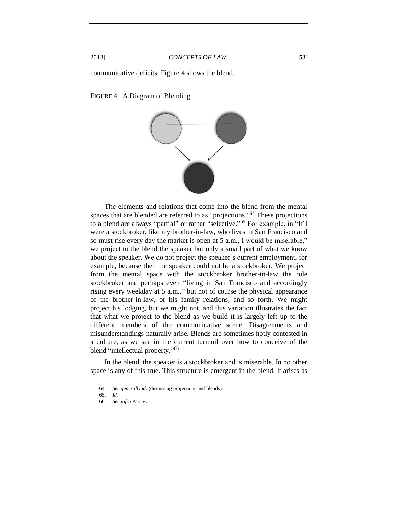communicative deficits. Figure 4 shows the blend.

FIGURE 4. A Diagram of Blending



The elements and relations that come into the blend from the mental spaces that are blended are referred to as "projections."<sup>64</sup> These projections to a blend are always "partial" or rather "selective." <sup>65</sup> For example, in "If I were a stockbroker, like my brother-in-law, who lives in San Francisco and so must rise every day the market is open at 5 a.m., I would be miserable," we project to the blend the speaker but only a small part of what we know about the speaker. We do not project the speaker's current employment, for example, because then the speaker could not be a stockbroker. We project from the mental space with the stockbroker brother-in-law the role stockbroker and perhaps even "living in San Francisco and accordingly rising every weekday at 5 a.m.," but not of course the physical appearance of the brother-in-law, or his family relations, and so forth. We might project his lodging, but we might not, and this variation illustrates the fact that what we project to the blend as we build it is largely left up to the different members of the communicative scene. Disagreements and misunderstandings naturally arise. Blends are sometimes hotly contested in a culture, as we see in the current turmoil over how to conceive of the blend "intellectual property."<sup>66</sup>

In the blend, the speaker is a stockbroker and is miserable. In no other space is any of this true. This structure is emergent in the blend. It arises as

<sup>64.</sup> *See generally id.* (discussing projections and blends).

<sup>65.</sup> *Id.*

<sup>66.</sup> *See infra* Part V.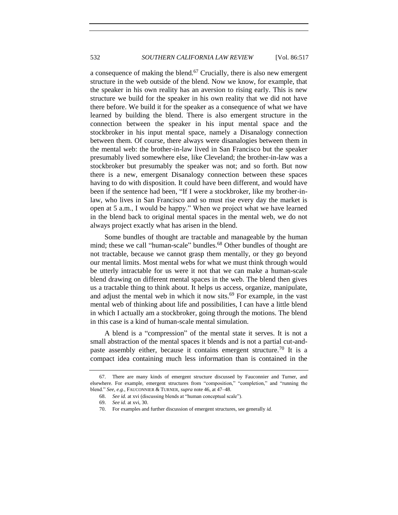a consequence of making the blend.<sup>67</sup> Crucially, there is also new emergent structure in the web outside of the blend. Now we know, for example, that the speaker in his own reality has an aversion to rising early. This is new structure we build for the speaker in his own reality that we did not have there before. We build it for the speaker as a consequence of what we have learned by building the blend. There is also emergent structure in the connection between the speaker in his input mental space and the stockbroker in his input mental space, namely a Disanalogy connection between them. Of course, there always were disanalogies between them in the mental web: the brother-in-law lived in San Francisco but the speaker presumably lived somewhere else, like Cleveland; the brother-in-law was a stockbroker but presumably the speaker was not; and so forth. But now there is a new, emergent Disanalogy connection between these spaces having to do with disposition. It could have been different, and would have been if the sentence had been, "If I were a stockbroker, like my brother-inlaw, who lives in San Francisco and so must rise every day the market is open at 5 a.m., I would be happy." When we project what we have learned in the blend back to original mental spaces in the mental web, we do not always project exactly what has arisen in the blend.

Some bundles of thought are tractable and manageable by the human mind; these we call "human-scale" bundles. <sup>68</sup> Other bundles of thought are not tractable, because we cannot grasp them mentally, or they go beyond our mental limits. Most mental webs for what we must think through would be utterly intractable for us were it not that we can make a human-scale blend drawing on different mental spaces in the web. The blend then gives us a tractable thing to think about. It helps us access, organize, manipulate, and adjust the mental web in which it now sits.<sup>69</sup> For example, in the vast mental web of thinking about life and possibilities, I can have a little blend in which I actually am a stockbroker, going through the motions. The blend in this case is a kind of human-scale mental simulation.

A blend is a "compression" of the mental state it serves. It is not a small abstraction of the mental spaces it blends and is not a partial cut-andpaste assembly either, because it contains emergent structure.<sup>70</sup> It is a compact idea containing much less information than is contained in the

<sup>67.</sup> There are many kinds of emergent structure discussed by Fauconnier and Turner, and elsewhere. For example, emergent structures from "composition," "completion," and "running the blend." *See, e.g.*, FAUCONNIER & TURNER, *supra* note 46, at 47–48.

<sup>68.</sup> *See id.* at xvi (discussing blends at "human conceptual scale").

<sup>69.</sup> *See id.* at xvi, 30.

<sup>70.</sup> For examples and further discussion of emergent structures, see generally *id.*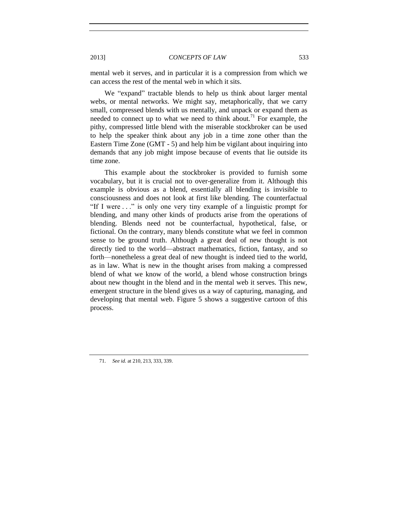mental web it serves, and in particular it is a compression from which we can access the rest of the mental web in which it sits.

We "expand" tractable blends to help us think about larger mental webs, or mental networks. We might say, metaphorically, that we carry small, compressed blends with us mentally, and unpack or expand them as needed to connect up to what we need to think about.<sup>71</sup> For example, the pithy, compressed little blend with the miserable stockbroker can be used to help the speaker think about any job in a time zone other than the Eastern Time Zone (GMT - 5) and help him be vigilant about inquiring into demands that any job might impose because of events that lie outside its time zone.

This example about the stockbroker is provided to furnish some vocabulary, but it is crucial not to over-generalize from it. Although this example is obvious as a blend, essentially all blending is invisible to consciousness and does not look at first like blending. The counterfactual "If I were . . ." is only one very tiny example of a linguistic prompt for blending, and many other kinds of products arise from the operations of blending. Blends need not be counterfactual, hypothetical, false, or fictional. On the contrary, many blends constitute what we feel in common sense to be ground truth. Although a great deal of new thought is not directly tied to the world—abstract mathematics, fiction, fantasy, and so forth—nonetheless a great deal of new thought is indeed tied to the world, as in law. What is new in the thought arises from making a compressed blend of what we know of the world, a blend whose construction brings about new thought in the blend and in the mental web it serves. This new, emergent structure in the blend gives us a way of capturing, managing, and developing that mental web. Figure 5 shows a suggestive cartoon of this process.

71. *See id.* at 210, 213, 333, 339.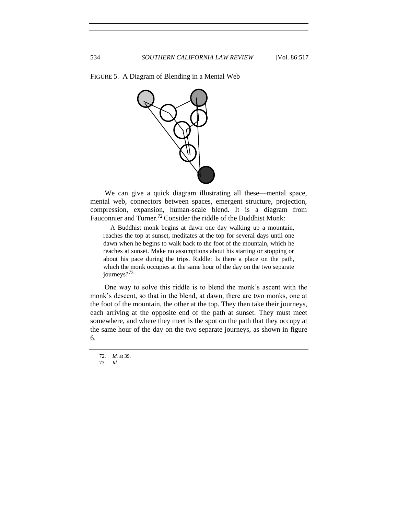FIGURE 5. A Diagram of Blending in a Mental Web



We can give a quick diagram illustrating all these—mental space, mental web, connectors between spaces, emergent structure, projection, compression, expansion, human-scale blend. It is a diagram from Fauconnier and Turner.<sup>72</sup> Consider the riddle of the Buddhist Monk:

A Buddhist monk begins at dawn one day walking up a mountain, reaches the top at sunset, meditates at the top for several days until one dawn when he begins to walk back to the foot of the mountain, which he reaches at sunset. Make no assumptions about his starting or stopping or about his pace during the trips. Riddle: Is there a place on the path, which the monk occupies at the same hour of the day on the two separate journeys?<sup>73</sup>

One way to solve this riddle is to blend the monk's ascent with the monk's descent, so that in the blend, at dawn, there are two monks, one at the foot of the mountain, the other at the top. They then take their journeys, each arriving at the opposite end of the path at sunset. They must meet somewhere, and where they meet is the spot on the path that they occupy at the same hour of the day on the two separate journeys, as shown in figure 6.

<sup>72.</sup> *Id.* at 39.

<sup>73.</sup> *Id.*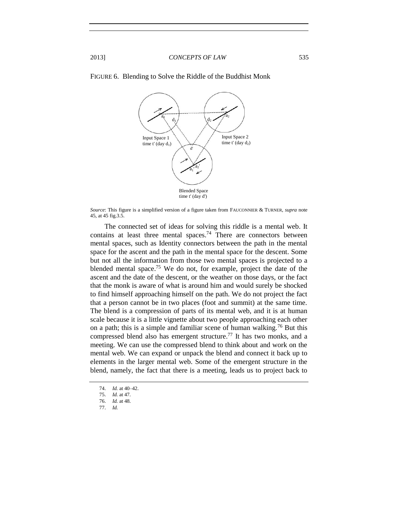

#### FIGURE 6. Blending to Solve the Riddle of the Buddhist Monk

*Source*: This figure is a simplified version of a figure taken from FAUCONNIER & TURNER, *supra* note [45,](#page-8-0) at 45 fig.3.5.

The connected set of ideas for solving this riddle is a mental web. It contains at least three mental spaces. <sup>74</sup> There are connectors between mental spaces, such as Identity connectors between the path in the mental space for the ascent and the path in the mental space for the descent. Some but not all the information from those two mental spaces is projected to a blended mental space.<sup>75</sup> We do not, for example, project the date of the ascent and the date of the descent, or the weather on those days, or the fact that the monk is aware of what is around him and would surely be shocked to find himself approaching himself on the path. We do not project the fact that a person cannot be in two places (foot and summit) at the same time. The blend is a compression of parts of its mental web, and it is at human scale because it is a little vignette about two people approaching each other on a path; this is a simple and familiar scene of human walking.<sup>76</sup> But this compressed blend also has emergent structure. <sup>77</sup> It has two monks, and a meeting. We can use the compressed blend to think about and work on the mental web. We can expand or unpack the blend and connect it back up to elements in the larger mental web. Some of the emergent structure in the blend, namely, the fact that there is a meeting, leads us to project back to

<sup>74.</sup> *Id.* at 40–42.

<sup>75.</sup> *Id.* at 47. 76. *Id.* at 48.

<sup>77.</sup> *Id.*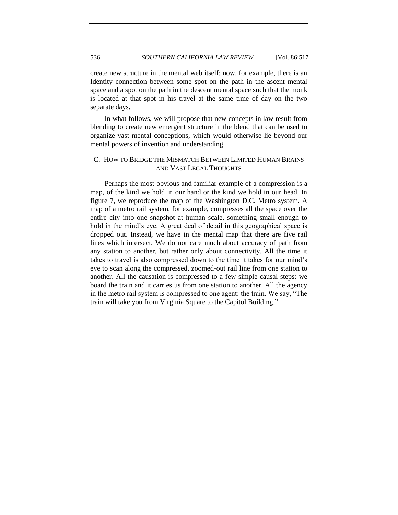create new structure in the mental web itself: now, for example, there is an Identity connection between some spot on the path in the ascent mental space and a spot on the path in the descent mental space such that the monk is located at that spot in his travel at the same time of day on the two separate days.

In what follows, we will propose that new concepts in law result from blending to create new emergent structure in the blend that can be used to organize vast mental conceptions, which would otherwise lie beyond our mental powers of invention and understanding.

# C. HOW TO BRIDGE THE MISMATCH BETWEEN LIMITED HUMAN BRAINS AND VAST LEGAL THOUGHTS

Perhaps the most obvious and familiar example of a compression is a map, of the kind we hold in our hand or the kind we hold in our head. In figure 7, we reproduce the map of the Washington D.C. Metro system. A map of a metro rail system, for example, compresses all the space over the entire city into one snapshot at human scale, something small enough to hold in the mind's eye. A great deal of detail in this geographical space is dropped out. Instead, we have in the mental map that there are five rail lines which intersect. We do not care much about accuracy of path from any station to another, but rather only about connectivity. All the time it takes to travel is also compressed down to the time it takes for our mind's eye to scan along the compressed, zoomed-out rail line from one station to another. All the causation is compressed to a few simple causal steps: we board the train and it carries us from one station to another. All the agency in the metro rail system is compressed to one agent: the train. We say, "The train will take you from Virginia Square to the Capitol Building."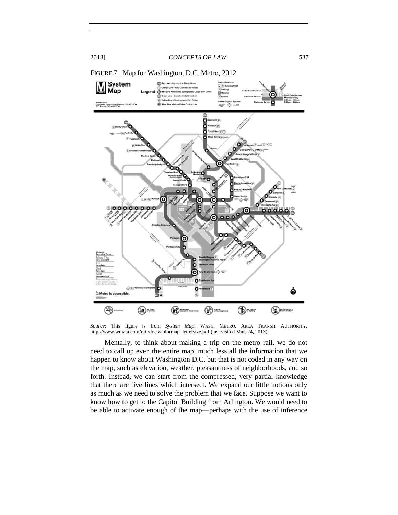

FIGURE 7. Map for Washington, D.C. Metro, 2012

*Source*: This figure is from *System Map*, WASH. METRO. AREA TRANSIT AUTHORITY, http://www.wmata.com/rail/docs/colormap\_lettersize.pdf (last visited Mar. 24, 2013).

Mentally, to think about making a trip on the metro rail, we do not need to call up even the entire map, much less all the information that we happen to know about Washington D.C. but that is not coded in any way on the map, such as elevation, weather, pleasantness of neighborhoods, and so forth. Instead, we can start from the compressed, very partial knowledge that there are five lines which intersect. We expand our little notions only as much as we need to solve the problem that we face. Suppose we want to know how to get to the Capitol Building from Arlington. We would need to be able to activate enough of the map—perhaps with the use of inference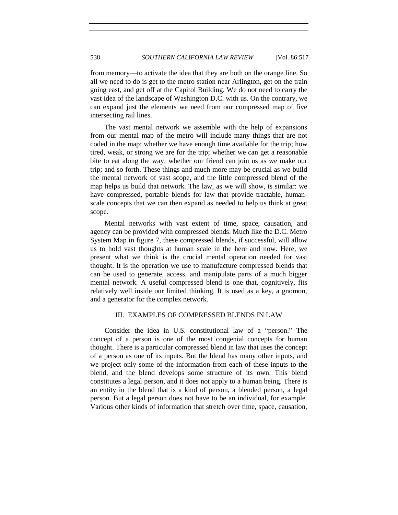from memory—to activate the idea that they are both on the orange line. So all we need to do is get to the metro station near Arlington, get on the train going east, and get off at the Capitol Building. We do not need to carry the vast idea of the landscape of Washington D.C. with us. On the contrary, we can expand just the elements we need from our compressed map of five intersecting rail lines.

The vast mental network we assemble with the help of expansions from our mental map of the metro will include many things that are not coded in the map: whether we have enough time available for the trip; how tired, weak, or strong we are for the trip; whether we can get a reasonable bite to eat along the way; whether our friend can join us as we make our trip; and so forth. These things and much more may be crucial as we build the mental network of vast scope, and the little compressed blend of the map helps us build that network. The law, as we will show, is similar: we have compressed, portable blends for law that provide tractable, humanscale concepts that we can then expand as needed to help us think at great scope.

Mental networks with vast extent of time, space, causation, and agency can be provided with compressed blends. Much like the D.C. Metro System Map in figure 7, these compressed blends, if successful, will allow us to hold vast thoughts at human scale in the here and now. Here, we present what we think is the crucial mental operation needed for vast thought. It is the operation we use to manufacture compressed blends that can be used to generate, access, and manipulate parts of a much bigger mental network. A useful compressed blend is one that, cognitively, fits relatively well inside our limited thinking. It is used as a key, a gnomon, and a generator for the complex network.

# III. EXAMPLES OF COMPRESSED BLENDS IN LAW

Consider the idea in U.S. constitutional law of a "person." The concept of a person is one of the most congenial concepts for human thought. There is a particular compressed blend in law that uses the concept of a person as one of its inputs. But the blend has many other inputs, and we project only some of the information from each of these inputs to the blend, and the blend develops some structure of its own. This blend constitutes a legal person, and it does not apply to a human being. There is an entity in the blend that is a kind of person, a blended person, a legal person. But a legal person does not have to be an individual, for example. Various other kinds of information that stretch over time, space, causation,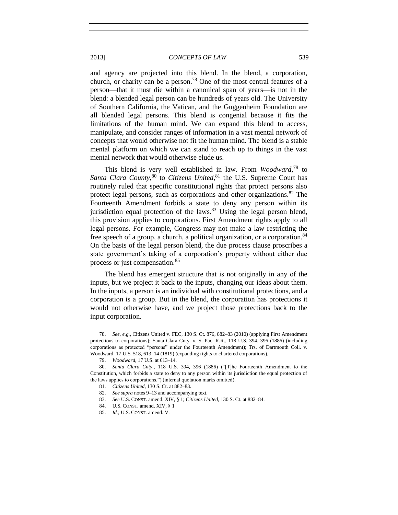and agency are projected into this blend. In the blend, a corporation, church, or charity can be a person.<sup>78</sup> One of the most central features of a person—that it must die within a canonical span of years—is not in the blend: a blended legal person can be hundreds of years old. The University of Southern California, the Vatican, and the Guggenheim Foundation are all blended legal persons. This blend is congenial because it fits the limitations of the human mind. We can expand this blend to access, manipulate, and consider ranges of information in a vast mental network of concepts that would otherwise not fit the human mind. The blend is a stable mental platform on which we can stand to reach up to things in the vast mental network that would otherwise elude us.

This blend is very well established in law. From *Woodward*, <sup>79</sup> to Santa Clara County,<sup>80</sup> to Citizens United,<sup>81</sup> the U.S. Supreme Court has routinely ruled that specific constitutional rights that protect persons also protect legal persons, such as corporations and other organizations.<sup>82</sup> The Fourteenth Amendment forbids a state to deny any person within its jurisdiction equal protection of the laws. $83$  Using the legal person blend, this provision applies to corporations. First Amendment rights apply to all legal persons. For example, Congress may not make a law restricting the free speech of a group, a church, a political organization, or a corporation.<sup>84</sup> On the basis of the legal person blend, the due process clause proscribes a state government's taking of a corporation's property without either due process or just compensation.<sup>85</sup>

The blend has emergent structure that is not originally in any of the inputs, but we project it back to the inputs, changing our ideas about them. In the inputs, a person is an individual with constitutional protections, and a corporation is a group. But in the blend, the corporation has protections it would not otherwise have, and we project those protections back to the input corporation.

<sup>78.</sup> *See, e.g.*, Citizens United v. FEC, 130 S. Ct. 876, 882–83 (2010) (applying First Amendment protections to corporations); Santa Clara Cnty. v. S. Pac. R.R., 118 U.S. 394, 396 (1886) (including corporations as protected "persons" under the Fourteenth Amendment); Trs. of Dartmouth Coll. v. Woodward, 17 U.S. 518, 613–14 (1819) (expanding rights to chartered corporations).

<sup>79.</sup> *Woodward*, 17 U.S. at 613–14.

<sup>80.</sup> *Santa Clara Cnty*., 118 U.S. 394, 396 (1886) ("[T]he Fourteenth Amendment to the Constitution, which forbids a state to deny to any person within its jurisdiction the equal protection of the laws applies to corporations.") (internal quotation marks omitted).

<sup>81.</sup> *Citizens United*, 130 S. Ct. at 882–83.

<sup>82.</sup> *See supra* notes 9–13 and accompanying text.

<sup>83.</sup> *See* U.S. CONST. amend. XIV, § 1; *Citizens United*, 130 S. Ct. at 882–84.

<sup>84.</sup> U.S. CONST. amend. XIV, § 1

<sup>85.</sup> *Id.*; U.S. CONST. amend. V.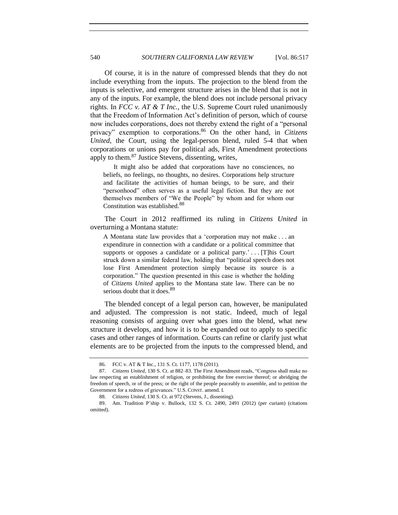Of course, it is in the nature of compressed blends that they do not include everything from the inputs. The projection to the blend from the inputs is selective, and emergent structure arises in the blend that is not in any of the inputs. For example, the blend does not include personal privacy rights. In *FCC v. AT & T Inc.*, the U.S. Supreme Court ruled unanimously that the Freedom of Information Act's definition of person, which of course now includes corporations, does not thereby extend the right of a "personal privacy" exemption to corporations.<sup>86</sup> On the other hand, in *Citizens United*, the Court, using the legal-person blend, ruled 5-4 that when corporations or unions pay for political ads, First Amendment protections apply to them.<sup>87</sup> Justice Stevens, dissenting, writes,

It might also be added that corporations have no consciences, no beliefs, no feelings, no thoughts, no desires. Corporations help structure and facilitate the activities of human beings, to be sure, and their "personhood" often serves as a useful legal fiction. But they are not themselves members of "We the People" by whom and for whom our Constitution was established.<sup>88</sup>

The Court in 2012 reaffirmed its ruling in *Citizens United* in overturning a Montana statute:

A Montana state law provides that a 'corporation may not make . . . an expenditure in connection with a candidate or a political committee that supports or opposes a candidate or a political party.'... [T]his Court struck down a similar federal law, holding that "political speech does not lose First Amendment protection simply because its source is a corporation." The question presented in this case is whether the holding of *Citizens United* applies to the Montana state law. There can be no serious doubt that it does.<sup>89</sup>

The blended concept of a legal person can, however, be manipulated and adjusted. The compression is not static. Indeed, much of legal reasoning consists of arguing over what goes into the blend, what new structure it develops, and how it is to be expanded out to apply to specific cases and other ranges of information. Courts can refine or clarify just what elements are to be projected from the inputs to the compressed blend, and

<sup>86.</sup> FCC v. AT & T Inc., 131 S. Ct. 1177, 1178 (2011).

<sup>87.</sup> *Citizens United*, 130 S. Ct. at 882–83. The First Amendment reads, "Congress shall make no law respecting an establishment of religion, or prohibiting the free exercise thereof; or abridging the freedom of speech, or of the press; or the right of the people peaceably to assemble, and to petition the Government for a redress of grievances." U.S. CONST. amend. I.

<sup>88.</sup> *Citizens United*, 130 S. Ct. at 972 (Stevens, J., dissenting).

<sup>89.</sup> Am. Tradition P'ship v. Bullock, 132 S. Ct. 2490, 2491 (2012) (per curiam) (citations omitted).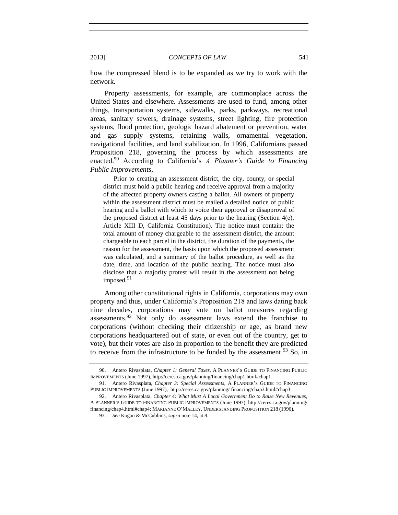how the compressed blend is to be expanded as we try to work with the network.

Property assessments, for example, are commonplace across the United States and elsewhere. Assessments are used to fund, among other things, transportation systems, sidewalks, parks, parkways, recreational areas, sanitary sewers, drainage systems, street lighting, fire protection systems, flood protection, geologic hazard abatement or prevention, water and gas supply systems, retaining walls, ornamental vegetation, navigational facilities, and land stabilization. In 1996, Californians passed Proposition 218, governing the process by which assessments are enacted.<sup>90</sup> According to California's *A Planner's Guide to Financing Public Improvements*,

Prior to creating an assessment district, the city, county, or special district must hold a public hearing and receive approval from a majority of the affected property owners casting a ballot. All owners of property within the assessment district must be mailed a detailed notice of public hearing and a ballot with which to voice their approval or disapproval of the proposed district at least 45 days prior to the hearing (Section 4(e), Article XIII D, California Constitution). The notice must contain: the total amount of money chargeable to the assessment district, the amount chargeable to each parcel in the district, the duration of the payments, the reason for the assessment, the basis upon which the proposed assessment was calculated, and a summary of the ballot procedure, as well as the date, time, and location of the public hearing. The notice must also disclose that a majority protest will result in the assessment not being imposed. $91$ 

Among other constitutional rights in California, corporations may own property and thus, under California's Proposition 218 and laws dating back nine decades, corporations may vote on ballot measures regarding assessments.<sup>92</sup> Not only do assessment laws extend the franchise to corporations (without checking their citizenship or age, as brand new corporations headquartered out of state, or even out of the country, get to vote), but their votes are also in proportion to the benefit they are predicted to receive from the infrastructure to be funded by the assessment.<sup>93</sup> So, in

<sup>90.</sup> Antero Rivasplata, *Chapter 1: General Taxes*, A PLANNER'S GUIDE TO FINANCING PUBLIC IMPROVEMENTS (June 1997), http://ceres.ca.gov/planning/financing/chap1.html#chap1.

<sup>91.</sup> Antero Rivasplata, *Chapter 3: Special Assessments*, A PLANNER'S GUIDE TO FINANCING PUBLIC IMPROVEMENTS (June 1997), http://ceres.ca.gov/planning/ financing/chap3.html#chap3.

<sup>92.</sup> Antero Rivasplata, *Chapter 4: What Must A Local Government Do to Raise New Revenues*, A PLANNER'S GUIDE TO FINANCING PUBLIC IMPROVEMENTS (June 1997), http://ceres.ca.gov/planning/ financing/chap4.html#chap4; MARIANNE O'MALLEY, UNDERSTANDING PROPOSITION 218 (1996).

<sup>93.</sup> *See* Kogan & McCubbins, *supra* note 14, at 8.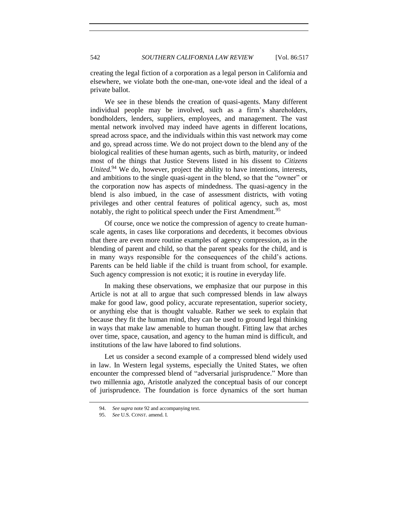creating the legal fiction of a corporation as a legal person in California and elsewhere, we violate both the one-man, one-vote ideal and the ideal of a private ballot.

We see in these blends the creation of quasi-agents. Many different individual people may be involved, such as a firm's shareholders, bondholders, lenders, suppliers, employees, and management. The vast mental network involved may indeed have agents in different locations, spread across space, and the individuals within this vast network may come and go, spread across time. We do not project down to the blend any of the biological realities of these human agents, such as birth, maturity, or indeed most of the things that Justice Stevens listed in his dissent to *Citizens United*. <sup>94</sup> We do, however, project the ability to have intentions, interests, and ambitions to the single quasi-agent in the blend, so that the "owner" or the corporation now has aspects of mindedness. The quasi-agency in the blend is also imbued, in the case of assessment districts, with voting privileges and other central features of political agency, such as, most notably, the right to political speech under the First Amendment.<sup>95</sup>

Of course, once we notice the compression of agency to create humanscale agents, in cases like corporations and decedents, it becomes obvious that there are even more routine examples of agency compression, as in the blending of parent and child, so that the parent speaks for the child, and is in many ways responsible for the consequences of the child's actions. Parents can be held liable if the child is truant from school, for example. Such agency compression is not exotic; it is routine in everyday life.

In making these observations, we emphasize that our purpose in this Article is not at all to argue that such compressed blends in law always make for good law, good policy, accurate representation, superior society, or anything else that is thought valuable. Rather we seek to explain that because they fit the human mind, they can be used to ground legal thinking in ways that make law amenable to human thought. Fitting law that arches over time, space, causation, and agency to the human mind is difficult, and institutions of the law have labored to find solutions.

Let us consider a second example of a compressed blend widely used in law. In Western legal systems, especially the United States, we often encounter the compressed blend of "adversarial jurisprudence." More than two millennia ago, Aristotle analyzed the conceptual basis of our concept of jurisprudence. The foundation is force dynamics of the sort human

<sup>94.</sup> *See supra* note 92 and accompanying text.

<sup>95.</sup> *See* U.S. CONST. amend. I.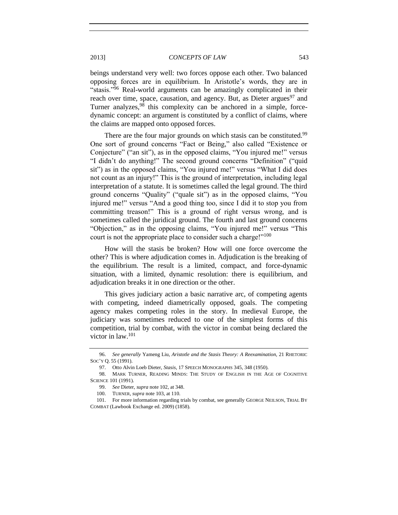beings understand very well: two forces oppose each other. Two balanced opposing forces are in equilibrium. In Aristotle's words, they are in "stasis."<sup>96</sup> Real-world arguments can be amazingly complicated in their reach over time, space, causation, and agency. But, as Dieter argues<sup>97</sup> and Turner analyzes,<sup>98</sup> this complexity can be anchored in a simple, forcedynamic concept: an argument is constituted by a conflict of claims, where the claims are mapped onto opposed forces.

There are the four major grounds on which stasis can be constituted.<sup>99</sup> One sort of ground concerns "Fact or Being," also called "Existence or Conjecture" ("an sit"), as in the opposed claims, "You injured me!" versus "I didn't do anything!" The second ground concerns "Definition" ("quid sit") as in the opposed claims, "You injured me!" versus "What I did does not count as an injury!" This is the ground of interpretation, including legal interpretation of a statute. It is sometimes called the legal ground. The third ground concerns "Quality" ("quale sit") as in the opposed claims, "You injured me!" versus "And a good thing too, since I did it to stop you from committing treason!" This is a ground of right versus wrong, and is sometimes called the juridical ground. The fourth and last ground concerns "Objection," as in the opposing claims, "You injured me!" versus "This court is not the appropriate place to consider such a charge!"<sup>100</sup>

How will the stasis be broken? How will one force overcome the other? This is where adjudication comes in. Adjudication is the breaking of the equilibrium. The result is a limited, compact, and force-dynamic situation, with a limited, dynamic resolution: there is equilibrium, and adjudication breaks it in one direction or the other.

This gives judiciary action a basic narrative arc, of competing agents with competing, indeed diametrically opposed, goals. The competing agency makes competing roles in the story. In medieval Europe, the judiciary was sometimes reduced to one of the simplest forms of this competition, trial by combat, with the victor in combat being declared the victor in law.<sup>101</sup>

<sup>96.</sup> *See generally* Yameng Liu, *Aristotle and the Stasis Theory: A Reexamination*, 21 RHETORIC SOC'Y Q. 55 (1991).

<sup>97.</sup> Otto Alvin Loeb Dieter, *Stasis*, 17 SPEECH MONOGRAPHS 345, 348 (1950).

<sup>98.</sup> MARK TURNER, READING MINDS: THE STUDY OF ENGLISH IN THE AGE OF COGNITIVE SCIENCE 101 (1991).

<sup>99.</sup> *See* Dieter, *supra* note 102, at 348.

<sup>100.</sup> TURNER*, supra* note 103, at 110.

<sup>101.</sup> For more information regarding trials by combat, see generally GEORGE NEILSON, TRIAL BY COMBAT (Lawbook Exchange ed. 2009) (1858).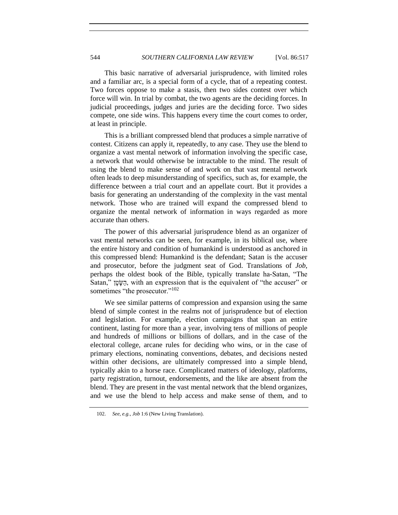This basic narrative of adversarial jurisprudence, with limited roles and a familiar arc, is a special form of a cycle, that of a repeating contest. Two forces oppose to make a stasis, then two sides contest over which force will win. In trial by combat, the two agents are the deciding forces. In judicial proceedings, judges and juries are the deciding force. Two sides compete, one side wins. This happens every time the court comes to order, at least in principle.

This is a brilliant compressed blend that produces a simple narrative of contest. Citizens can apply it, repeatedly, to any case. They use the blend to organize a vast mental network of information involving the specific case, a network that would otherwise be intractable to the mind. The result of using the blend to make sense of and work on that vast mental network often leads to deep misunderstanding of specifics, such as, for example, the difference between a trial court and an appellate court. But it provides a basis for generating an understanding of the complexity in the vast mental network. Those who are trained will expand the compressed blend to organize the mental network of information in ways regarded as more accurate than others.

The power of this adversarial jurisprudence blend as an organizer of vast mental networks can be seen, for example, in its biblical use, where the entire history and condition of humankind is understood as anchored in this compressed blend: Humankind is the defendant; Satan is the accuser and prosecutor, before the judgment seat of God. Translations of *Job*, perhaps the oldest book of the Bible, typically translate ha-Satan, "The Satan," הַשָּׂטָן, with an expression that is the equivalent of "the accuser" or sometimes "the prosecutor."<sup>102</sup>

We see similar patterns of compression and expansion using the same blend of simple contest in the realms not of jurisprudence but of election and legislation. For example, election campaigns that span an entire continent, lasting for more than a year, involving tens of millions of people and hundreds of millions or billions of dollars, and in the case of the electoral college, arcane rules for deciding who wins, or in the case of primary elections, nominating conventions, debates, and decisions nested within other decisions, are ultimately compressed into a simple blend, typically akin to a horse race. Complicated matters of ideology, platforms, party registration, turnout, endorsements, and the like are absent from the blend. They are present in the vast mental network that the blend organizes, and we use the blend to help access and make sense of them, and to

<sup>102.</sup> *See, e.g.*, *Job* 1:6 (New Living Translation).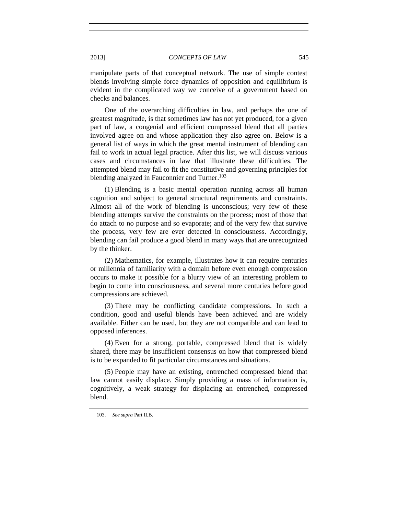manipulate parts of that conceptual network. The use of simple contest blends involving simple force dynamics of opposition and equilibrium is evident in the complicated way we conceive of a government based on checks and balances.

One of the overarching difficulties in law, and perhaps the one of greatest magnitude, is that sometimes law has not yet produced, for a given part of law, a congenial and efficient compressed blend that all parties involved agree on and whose application they also agree on. Below is a general list of ways in which the great mental instrument of blending can fail to work in actual legal practice. After this list, we will discuss various cases and circumstances in law that illustrate these difficulties. The attempted blend may fail to fit the constitutive and governing principles for blending analyzed in Fauconnier and Turner.<sup>103</sup>

(1) Blending is a basic mental operation running across all human cognition and subject to general structural requirements and constraints. Almost all of the work of blending is unconscious; very few of these blending attempts survive the constraints on the process; most of those that do attach to no purpose and so evaporate; and of the very few that survive the process, very few are ever detected in consciousness. Accordingly, blending can fail produce a good blend in many ways that are unrecognized by the thinker.

(2) Mathematics, for example, illustrates how it can require centuries or millennia of familiarity with a domain before even enough compression occurs to make it possible for a blurry view of an interesting problem to begin to come into consciousness, and several more centuries before good compressions are achieved.

(3) There may be conflicting candidate compressions. In such a condition, good and useful blends have been achieved and are widely available. Either can be used, but they are not compatible and can lead to opposed inferences.

(4) Even for a strong, portable, compressed blend that is widely shared, there may be insufficient consensus on how that compressed blend is to be expanded to fit particular circumstances and situations.

(5) People may have an existing, entrenched compressed blend that law cannot easily displace. Simply providing a mass of information is, cognitively, a weak strategy for displacing an entrenched, compressed blend.

<sup>103.</sup> *See supra* Part II.B.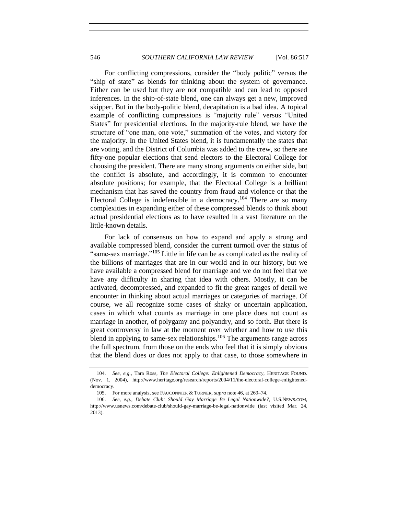For conflicting compressions, consider the "body politic" versus the "ship of state" as blends for thinking about the system of governance. Either can be used but they are not compatible and can lead to opposed inferences. In the ship-of-state blend, one can always get a new, improved skipper. But in the body-politic blend, decapitation is a bad idea. A topical example of conflicting compressions is "majority rule" versus "United States" for presidential elections. In the majority-rule blend, we have the structure of "one man, one vote," summation of the votes, and victory for the majority. In the United States blend, it is fundamentally the states that are voting, and the District of Columbia was added to the crew, so there are fifty-one popular elections that send electors to the Electoral College for choosing the president. There are many strong arguments on either side, but the conflict is absolute, and accordingly, it is common to encounter absolute positions; for example, that the Electoral College is a brilliant mechanism that has saved the country from fraud and violence or that the Electoral College is indefensible in a democracy.<sup>104</sup> There are so many complexities in expanding either of these compressed blends to think about actual presidential elections as to have resulted in a vast literature on the little-known details.

For lack of consensus on how to expand and apply a strong and available compressed blend, consider the current turmoil over the status of "same-sex marriage."<sup>105</sup> Little in life can be as complicated as the reality of the billions of marriages that are in our world and in our history, but we have available a compressed blend for marriage and we do not feel that we have any difficulty in sharing that idea with others. Mostly, it can be activated, decompressed, and expanded to fit the great ranges of detail we encounter in thinking about actual marriages or categories of marriage. Of course, we all recognize some cases of shaky or uncertain application, cases in which what counts as marriage in one place does not count as marriage in another, of polygamy and polyandry, and so forth. But there is great controversy in law at the moment over whether and how to use this blend in applying to same-sex relationships.<sup>106</sup> The arguments range across the full spectrum, from those on the ends who feel that it is simply obvious that the blend does or does not apply to that case, to those somewhere in

<sup>104.</sup> *See, e.g.*, Tara Ross, *The Electoral College: Enlightened Democracy*, HERITAGE FOUND. (Nov. 1, 2004), http://www.heritage.org/research/reports/2004/11/the-electoral-college-enlighteneddemocracy.

<sup>105.</sup> For more analysis, see FAUCONNIER & TURNER, *supra* note 46, at 269–74.

<sup>106.</sup> *See, e.g.*, *Debate Club: Should Gay Marriage Be Legal Nationwide?*, U.S.NEWS.COM, http://www.usnews.com/debate-club/should-gay-marriage-be-legal-nationwide (last visited Mar. 24, 2013).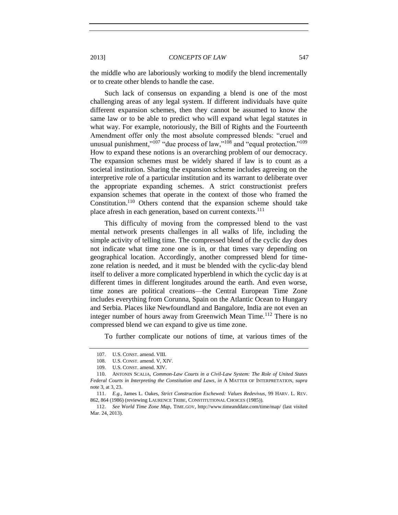the middle who are laboriously working to modify the blend incrementally or to create other blends to handle the case.

Such lack of consensus on expanding a blend is one of the most challenging areas of any legal system. If different individuals have quite different expansion schemes, then they cannot be assumed to know the same law or to be able to predict who will expand what legal statutes in what way. For example, notoriously, the Bill of Rights and the Fourteenth Amendment offer only the most absolute compressed blends: "cruel and unusual punishment,"<sup>107</sup> "due process of law,"<sup>108</sup> and "equal protection."<sup>109</sup> How to expand these notions is an overarching problem of our democracy. The expansion schemes must be widely shared if law is to count as a societal institution. Sharing the expansion scheme includes agreeing on the interpretive role of a particular institution and its warrant to deliberate over the appropriate expanding schemes. A strict constructionist prefers expansion schemes that operate in the context of those who framed the Constitution. <sup>110</sup> Others contend that the expansion scheme should take place afresh in each generation, based on current contexts.<sup>111</sup>

This difficulty of moving from the compressed blend to the vast mental network presents challenges in all walks of life, including the simple activity of telling time. The compressed blend of the cyclic day does not indicate what time zone one is in, or that times vary depending on geographical location. Accordingly, another compressed blend for timezone relation is needed, and it must be blended with the cyclic-day blend itself to deliver a more complicated hyperblend in which the cyclic day is at different times in different longitudes around the earth. And even worse, time zones are political creations—the Central European Time Zone includes everything from Corunna, Spain on the Atlantic Ocean to Hungary and Serbia. Places like Newfoundland and Bangalore, India are not even an integer number of hours away from Greenwich Mean Time.<sup>112</sup> There is no compressed blend we can expand to give us time zone.

To further complicate our notions of time, at various times of the

<sup>107.</sup> U.S. CONST. amend. VIII.

<sup>108.</sup> U.S. CONST. amend. V, XIV.

<sup>109.</sup> U.S. CONST. amend. XIV.

<sup>110.</sup> ANTONIN SCALIA, *Common-Law Courts in a Civil-Law System: The Role of United States Federal Courts in Interpreting the Constitution and Laws*, *in* A MATTER OF INTERPRETATION, *supra* note 3, at 3, 23.

<sup>111.</sup> *E.g.*, James L. Oakes, *Strict Construction Eschewed: Values Redevivus*, 99 HARV. L. REV. 862, 864 (1986) (reviewing LAURENCE TRIBE, CONSTITUTIONAL CHOICES (1985)).

<sup>112.</sup> *See World Time Zone Map,* TIME.GOV, http://www.timeanddate.com/time/map/ (last visited Mar. 24, 2013).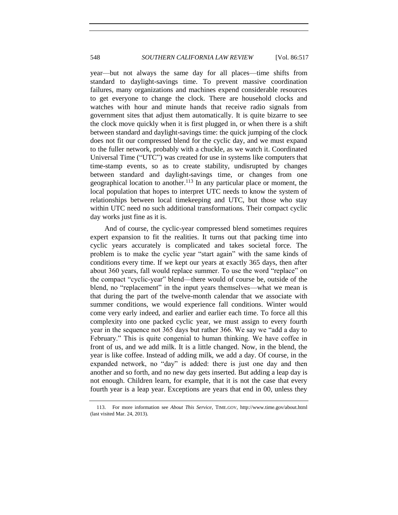year—but not always the same day for all places—time shifts from standard to daylight-savings time. To prevent massive coordination failures, many organizations and machines expend considerable resources to get everyone to change the clock. There are household clocks and watches with hour and minute hands that receive radio signals from government sites that adjust them automatically. It is quite bizarre to see the clock move quickly when it is first plugged in, or when there is a shift between standard and daylight-savings time: the quick jumping of the clock does not fit our compressed blend for the cyclic day, and we must expand to the fuller network, probably with a chuckle, as we watch it. Coordinated Universal Time ("UTC") was created for use in systems like computers that time-stamp events, so as to create stability, undisrupted by changes between standard and daylight-savings time, or changes from one geographical location to another.<sup>113</sup> In any particular place or moment, the local population that hopes to interpret UTC needs to know the system of relationships between local timekeeping and UTC, but those who stay within UTC need no such additional transformations. Their compact cyclic day works just fine as it is.

And of course, the cyclic-year compressed blend sometimes requires expert expansion to fit the realities. It turns out that packing time into cyclic years accurately is complicated and takes societal force. The problem is to make the cyclic year "start again" with the same kinds of conditions every time. If we kept our years at exactly 365 days, then after about 360 years, fall would replace summer. To use the word "replace" on the compact "cyclic-year" blend—there would of course be, outside of the blend, no "replacement" in the input years themselves—what we mean is that during the part of the twelve-month calendar that we associate with summer conditions, we would experience fall conditions. Winter would come very early indeed, and earlier and earlier each time. To force all this complexity into one packed cyclic year, we must assign to every fourth year in the sequence not 365 days but rather 366. We say we "add a day to February." This is quite congenial to human thinking. We have coffee in front of us, and we add milk. It is a little changed. Now, in the blend, the year is like coffee. Instead of adding milk, we add a day. Of course, in the expanded network, no "day" is added: there is just one day and then another and so forth, and no new day gets inserted. But adding a leap day is not enough. Children learn, for example, that it is not the case that every fourth year is a leap year. Exceptions are years that end in 00, unless they

<sup>113.</sup> For more information see *About This Service*, TIME.GOV, http://www.time.gov/about.html (last visited Mar. 24, 2013).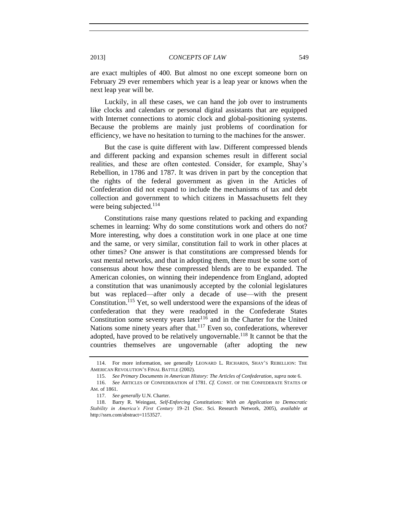are exact multiples of 400. But almost no one except someone born on February 29 ever remembers which year is a leap year or knows when the next leap year will be.

Luckily, in all these cases, we can hand the job over to instruments like clocks and calendars or personal digital assistants that are equipped with Internet connections to atomic clock and global-positioning systems. Because the problems are mainly just problems of coordination for efficiency, we have no hesitation to turning to the machines for the answer.

But the case is quite different with law. Different compressed blends and different packing and expansion schemes result in different social realities, and these are often contested. Consider, for example, Shay's Rebellion, in 1786 and 1787. It was driven in part by the conception that the rights of the federal government as given in the Articles of Confederation did not expand to include the mechanisms of tax and debt collection and government to which citizens in Massachusetts felt they were being subjected.<sup>114</sup>

Constitutions raise many questions related to packing and expanding schemes in learning: Why do some constitutions work and others do not? More interesting, why does a constitution work in one place at one time and the same, or very similar, constitution fail to work in other places at other times? One answer is that constitutions are compressed blends for vast mental networks, and that in adopting them, there must be some sort of consensus about how these compressed blends are to be expanded. The American colonies, on winning their independence from England, adopted a constitution that was unanimously accepted by the colonial legislatures but was replaced—after only a decade of use—with the present Constitution.<sup>115</sup> Yet, so well understood were the expansions of the ideas of confederation that they were readopted in the Confederate States Constitution some seventy years later<sup>116</sup> and in the Charter for the United Nations some ninety years after that.<sup>117</sup> Even so, confederations, wherever adopted, have proved to be relatively ungovernable.<sup>118</sup> It cannot be that the countries themselves are ungovernable (after adopting the new

<sup>114.</sup> For more information, see generally LEONARD L. RICHARDS, SHAY'S REBELLION: THE AMERICAN REVOLUTION'S FINAL BATTLE (2002).

<sup>115.</sup> *See Primary Documents in American History: The Articles of Confederation*, *supra* not[e 6.](#page-2-1)

<sup>116.</sup> *See* ARTICLES OF CONFEDERATION of 1781. *Cf.* CONST. OF THE CONFEDERATE STATES OF AM. of 1861.

<sup>117.</sup> *See generally* U.N. Charter.

<sup>118.</sup> Barry R. Weingast, *Self-Enforcing Constitutions: With an Application to Democratic Stability in America's First Century* 19–21 (Soc. Sci. Research Network, 2005), *available at* http://ssrn.com/abstract=1153527.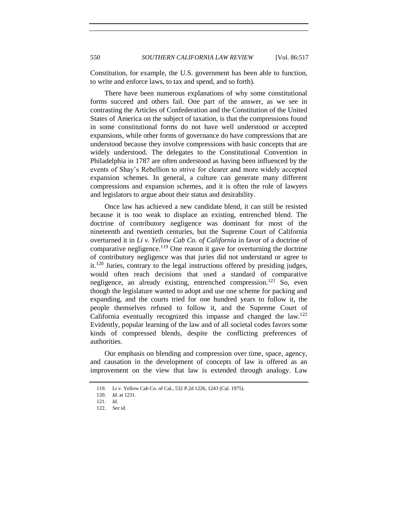Constitution, for example, the U.S. government has been able to function, to write and enforce laws, to tax and spend, and so forth).

There have been numerous explanations of why some constitutional forms succeed and others fail. One part of the answer, as we see in contrasting the Articles of Confederation and the Constitution of the United States of America on the subject of taxation, is that the compressions found in some constitutional forms do not have well understood or accepted expansions, while other forms of governance do have compressions that are understood because they involve compressions with basic concepts that are widely understood. The delegates to the Constitutional Convention in Philadelphia in 1787 are often understood as having been influenced by the events of Shay's Rebellion to strive for clearer and more widely accepted expansion schemes. In general, a culture can generate many different compressions and expansion schemes, and it is often the role of lawyers and legislators to argue about their status and desirability.

Once law has achieved a new candidate blend, it can still be resisted because it is too weak to displace an existing, entrenched blend. The doctrine of contributory negligence was dominant for most of the nineteenth and twentieth centuries, but the Supreme Court of California overturned it in *Li v. Yellow Cab Co. of California* in favor of a doctrine of comparative negligence.<sup>119</sup> One reason it gave for overturning the doctrine of contributory negligence was that juries did not understand or agree to  $it.<sup>120</sup>$  Juries, contrary to the legal instructions offered by presiding judges, would often reach decisions that used a standard of comparative negligence, an already existing, entrenched compression.<sup>121</sup> So, even though the legislature wanted to adopt and use one scheme for packing and expanding, and the courts tried for one hundred years to follow it, the people themselves refused to follow it, and the Supreme Court of California eventually recognized this impasse and changed the law.<sup>122</sup> Evidently, popular learning of the law and of all societal codes favors some kinds of compressed blends, despite the conflicting preferences of authorities.

Our emphasis on blending and compression over time, space, agency, and causation in the development of concepts of law is offered as an improvement on the view that law is extended through analogy. Law

<sup>119.</sup> Li v. Yellow Cab Co. of Cal., 532 P.2d 1226, 1243 (Cal. 1975).

<sup>120.</sup> *Id.* at 1231.

<sup>121.</sup> *Id.*

<sup>122.</sup> *See id.*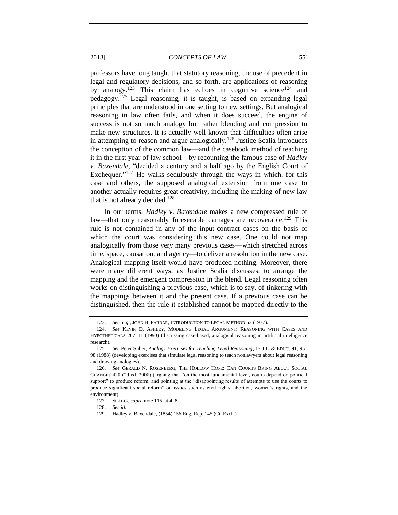professors have long taught that statutory reasoning, the use of precedent in legal and regulatory decisions, and so forth, are applications of reasoning by analogy.<sup>123</sup> This claim has echoes in cognitive science<sup>124</sup> and pedagogy.<sup>125</sup> Legal reasoning, it is taught, is based on expanding legal principles that are understood in one setting to new settings. But analogical reasoning in law often fails, and when it does succeed, the engine of success is not so much analogy but rather blending and compression to make new structures. It is actually well known that difficulties often arise in attempting to reason and argue analogically.<sup>126</sup> Justice Scalia introduces the conception of the common law—and the casebook method of teaching it in the first year of law school—by recounting the famous case of *Hadley v. Baxendale*, "decided a century and a half ago by the English Court of Exchequer. $127$  He walks sedulously through the ways in which, for this case and others, the supposed analogical extension from one case to another actually requires great creativity, including the making of new law that is not already decided.<sup>128</sup>

<span id="page-34-0"></span>In our terms, *Hadley v. Baxendale* makes a new compressed rule of law—that only reasonably foreseeable damages are recoverable.<sup>129</sup> This rule is not contained in any of the input-contract cases on the basis of which the court was considering this new case. One could not map analogically from those very many previous cases—which stretched across time, space, causation, and agency—to deliver a resolution in the new case. Analogical mapping itself would have produced nothing. Moreover, there were many different ways, as Justice Scalia discusses, to arrange the mapping and the emergent compression in the blend. Legal reasoning often works on distinguishing a previous case, which is to say, of tinkering with the mappings between it and the present case. If a previous case can be distinguished, then the rule it established cannot be mapped directly to the

128. *See id.*

<sup>123.</sup> *See, e.g.*, JOHN H. FARRAR, INTRODUCTION TO LEGAL METHOD 63 (1977).

<sup>124.</sup> *See* KEVIN D. ASHLEY, MODELING LEGAL ARGUMENT: REASONING WITH CASES AND HYPOTHETICALS 207–11 (1990) (discussing case-based, analogical reasoning in artificial intelligence research).

<sup>125.</sup> *See* Peter Suber, *Analogy Exercises for Teaching Legal Reasoning*, 17 J.L. & EDUC. 91, 95– 98 (1988) (developing exercises that simulate legal reasoning to teach nonlawyers about legal reasoning and drawing analogies).

<sup>126.</sup> *See* GERALD N. ROSENBERG, THE HOLLOW HOPE: CAN COURTS BRING ABOUT SOCIAL CHANGE? 420 (2d ed. 2008) (arguing that "on the most fundamental level, courts depend on political support" to produce reform, and pointing at the "disappointing results of attempts to use the courts to produce significant social reform" on issues such as civil rights, abortion, women's rights, and the environment).

<sup>127.</sup> SCALIA, *supra* note 115, at 4–8.

<sup>129.</sup> Hadley v. Baxendale, (1854) 156 Eng. Rep. 145 (Ct. Exch.).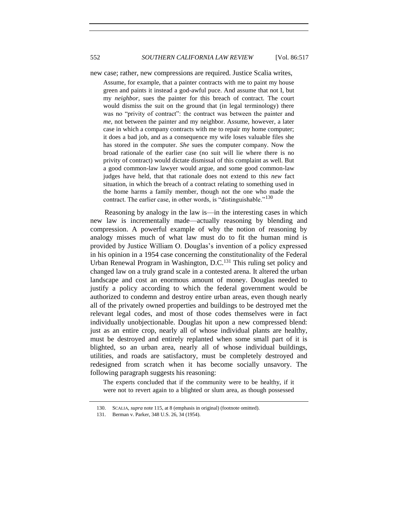552 *SOUTHERN CALIFORNIA LAW REVIEW* [Vol. 86:517

<span id="page-35-0"></span>

new case; rather, new compressions are required. Justice Scalia writes,

Assume, for example, that a painter contracts with me to paint my house green and paints it instead a god-awful puce. And assume that not I, but my *neighbor*, sues the painter for this breach of contract. The court would dismiss the suit on the ground that (in legal terminology) there was no "privity of contract": the contract was between the painter and *me*, not between the painter and my neighbor. Assume, however, a later case in which a company contracts with me to repair my home computer; it does a bad job, and as a consequence my wife loses valuable files she has stored in the computer. *She* sues the computer company. Now the broad rationale of the earlier case (no suit will lie where there is no privity of contract) would dictate dismissal of this complaint as well. But a good common-law lawyer would argue, and some good common-law judges have held, that that rationale does not extend to this *new* fact situation, in which the breach of a contract relating to something used in the home harms a family member, though not the one who made the contract. The earlier case, in other words, is "distinguishable."<sup>130</sup>

Reasoning by analogy in the law is—in the interesting cases in which new law is incrementally made—actually reasoning by blending and compression. A powerful example of why the notion of reasoning by analogy misses much of what law must do to fit the human mind is provided by Justice William O. Douglas's invention of a policy expressed in his opinion in a 1954 case concerning the constitutionality of the Federal Urban Renewal Program in Washington, D.C.<sup>131</sup> This ruling set policy and changed law on a truly grand scale in a contested arena. It altered the urban landscape and cost an enormous amount of money. Douglas needed to justify a policy according to which the federal government would be authorized to condemn and destroy entire urban areas, even though nearly all of the privately owned properties and buildings to be destroyed met the relevant legal codes, and most of those codes themselves were in fact individually unobjectionable. Douglas hit upon a new compressed blend: just as an entire crop, nearly all of whose individual plants are healthy, must be destroyed and entirely replanted when some small part of it is blighted, so an urban area, nearly all of whose individual buildings, utilities, and roads are satisfactory, must be completely destroyed and redesigned from scratch when it has become socially unsavory. The following paragraph suggests his reasoning:

The experts concluded that if the community were to be healthy, if it were not to revert again to a blighted or slum area, as though possessed

<sup>130.</sup> SCALIA, *supra* note 115, at 8 (emphasis in original) (footnote omitted).

<sup>131.</sup> Berman v. Parker, 348 U.S. 26, 34 (1954).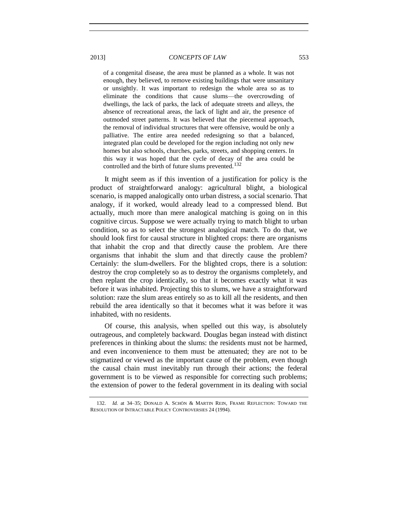of a congenital disease, the area must be planned as a whole. It was not enough, they believed, to remove existing buildings that were unsanitary or unsightly. It was important to redesign the whole area so as to eliminate the conditions that cause slums—the overcrowding of dwellings, the lack of parks, the lack of adequate streets and alleys, the absence of recreational areas, the lack of light and air, the presence of outmoded street patterns. It was believed that the piecemeal approach, the removal of individual structures that were offensive, would be only a palliative. The entire area needed redesigning so that a balanced, integrated plan could be developed for the region including not only new homes but also schools, churches, parks, streets, and shopping centers. In this way it was hoped that the cycle of decay of the area could be controlled and the birth of future slums prevented.<sup>132</sup>

It might seem as if this invention of a justification for policy is the product of straightforward analogy: agricultural blight, a biological scenario, is mapped analogically onto urban distress, a social scenario. That analogy, if it worked, would already lead to a compressed blend. But actually, much more than mere analogical matching is going on in this cognitive circus. Suppose we were actually trying to match blight to urban condition, so as to select the strongest analogical match. To do that, we should look first for causal structure in blighted crops: there are organisms that inhabit the crop and that directly cause the problem. Are there organisms that inhabit the slum and that directly cause the problem? Certainly: the slum-dwellers. For the blighted crops, there is a solution: destroy the crop completely so as to destroy the organisms completely, and then replant the crop identically, so that it becomes exactly what it was before it was inhabited. Projecting this to slums, we have a straightforward solution: raze the slum areas entirely so as to kill all the residents, and then rebuild the area identically so that it becomes what it was before it was inhabited, with no residents.

Of course, this analysis, when spelled out this way, is absolutely outrageous, and completely backward. Douglas began instead with distinct preferences in thinking about the slums: the residents must not be harmed, and even inconvenience to them must be attenuated; they are not to be stigmatized or viewed as the important cause of the problem, even though the causal chain must inevitably run through their actions; the federal government is to be viewed as responsible for correcting such problems; the extension of power to the federal government in its dealing with social

<sup>132.</sup> *Id.* at 34–35; DONALD A. SCHÖN & MARTIN REIN, FRAME REFLECTION: TOWARD THE RESOLUTION OF INTRACTABLE POLICY CONTROVERSIES 24 (1994).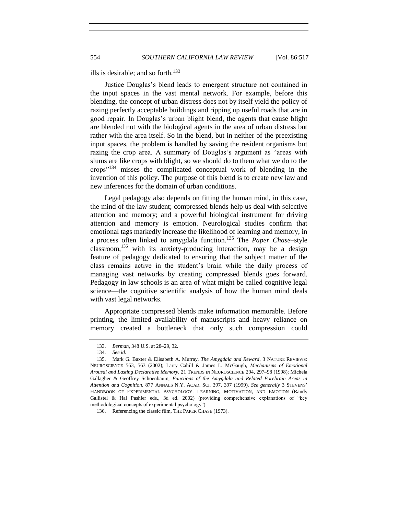ills is desirable; and so forth. 133

Justice Douglas's blend leads to emergent structure not contained in the input spaces in the vast mental network. For example, before this blending, the concept of urban distress does not by itself yield the policy of razing perfectly acceptable buildings and ripping up useful roads that are in good repair. In Douglas's urban blight blend, the agents that cause blight are blended not with the biological agents in the area of urban distress but rather with the area itself. So in the blend, but in neither of the preexisting input spaces, the problem is handled by saving the resident organisms but razing the crop area. A summary of Douglas's argument as "areas with slums are like crops with blight, so we should do to them what we do to the crops"<sup>134</sup> misses the complicated conceptual work of blending in the invention of this policy. The purpose of this blend is to create new law and new inferences for the domain of urban conditions.

Legal pedagogy also depends on fitting the human mind, in this case, the mind of the law student; compressed blends help us deal with selective attention and memory; and a powerful biological instrument for driving attention and memory is emotion. Neurological studies confirm that emotional tags markedly increase the likelihood of learning and memory, in a process often linked to amygdala function.<sup>135</sup> The *Paper Chase*–style classroom,  $136$  with its anxiety-producing interaction, may be a design feature of pedagogy dedicated to ensuring that the subject matter of the class remains active in the student's brain while the daily process of managing vast networks by creating compressed blends goes forward. Pedagogy in law schools is an area of what might be called cognitive legal science—the cognitive scientific analysis of how the human mind deals with vast legal networks.

Appropriate compressed blends make information memorable. Before printing, the limited availability of manuscripts and heavy reliance on memory created a bottleneck that only such compression could

<sup>133.</sup> *Berman*, 348 U.S. at 28–29, 32.

<sup>134.</sup> *See id.*

<sup>135.</sup> Mark G. Baxter & Elisabeth A. Murray, *The Amygdala and Reward*, 3 NATURE REVIEWS: NEUROSCIENCE 563, 563 (2002); Larry Cahill & James L. McGaugh, *Mechanisms of Emotional Arousal and Lasting Declarative Memory*, 21 TRENDS IN NEUROSCIENCE 294, 297–98 (1998); Michela Gallagher & Geoffrey Schoenbaum, *Functions of the Amygdala and Related Forebrain Areas in Attention and Cognition*, 877 ANNALS N.Y. ACAD. SCI. 397, 397 (1999). *See generally* 3 STEVENS' HANDBOOK OF EXPERIMENTAL PSYCHOLOGY: LEARNING, MOTIVATION, AND EMOTION (Randy Gallistel & Hal Pashler eds., 3d ed. 2002) (providing comprehensive explanations of "key methodological concepts of experimental psychology").

<sup>136.</sup> Referencing the classic film, THE PAPER CHASE (1973).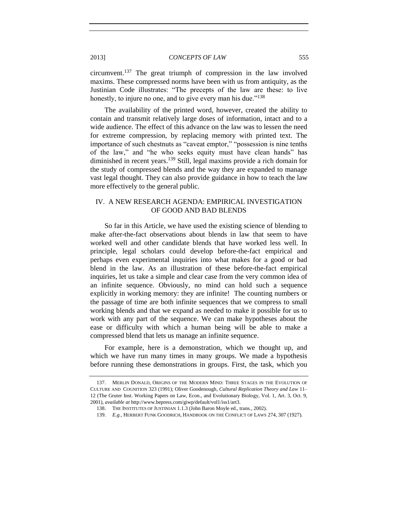circumvent.<sup>137</sup> The great triumph of compression in the law involved maxims. These compressed norms have been with us from antiquity, as the Justinian Code illustrates: "The precepts of the law are these: to live honestly, to injure no one, and to give every man his due."<sup>138</sup>

The availability of the printed word, however, created the ability to contain and transmit relatively large doses of information, intact and to a wide audience. The effect of this advance on the law was to lessen the need for extreme compression, by replacing memory with printed text. The importance of such chestnuts as "caveat emptor," "possession is nine tenths of the law," and "he who seeks equity must have clean hands" has diminished in recent years.<sup>139</sup> Still, legal maxims provide a rich domain for the study of compressed blends and the way they are expanded to manage vast legal thought. They can also provide guidance in how to teach the law more effectively to the general public.

# IV. A NEW RESEARCH AGENDA: EMPIRICAL INVESTIGATION OF GOOD AND BAD BLENDS

So far in this Article, we have used the existing science of blending to make after-the-fact observations about blends in law that seem to have worked well and other candidate blends that have worked less well. In principle, legal scholars could develop before-the-fact empirical and perhaps even experimental inquiries into what makes for a good or bad blend in the law. As an illustration of these before-the-fact empirical inquiries, let us take a simple and clear case from the very common idea of an infinite sequence. Obviously, no mind can hold such a sequence explicitly in working memory: they are infinite! The counting numbers or the passage of time are both infinite sequences that we compress to small working blends and that we expand as needed to make it possible for us to work with any part of the sequence. We can make hypotheses about the ease or difficulty with which a human being will be able to make a compressed blend that lets us manage an infinite sequence.

For example, here is a demonstration, which we thought up, and which we have run many times in many groups. We made a hypothesis before running these demonstrations in groups. First, the task, which you

<sup>137.</sup> MERLIN DONALD, ORIGINS OF THE MODERN MIND: THREE STAGES IN THE EVOLUTION OF CULTURE AND COGNITION 323 (1991); Oliver Goodenough, *Cultural Replication Theory and Law* 11– 12 (The Gruter Inst. Working Papers on Law, Econ., and Evolutionary Biology, Vol. 1, Art. 3, Oct. 9, 2001), *available at* http://www.bepress.com/giwp/default/vol1/iss1/art3.

<sup>138.</sup> THE INSTITUTES OF JUSTINIAN 1.1.3 (John Baron Moyle ed., trans., 2002).

<sup>139.</sup> *E.g.*, HERBERT FUNK GOODRICH, HANDBOOK ON THE CONFLICT OF LAWS 274, 307 (1927).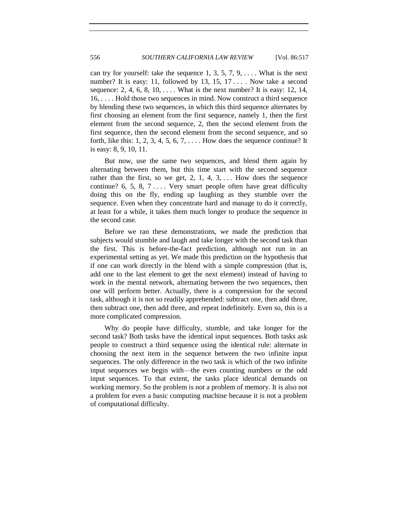can try for yourself: take the sequence 1, 3, 5, 7, 9,  $\dots$ . What is the next number? It is easy: 11, followed by 13, 15, 17... Now take a second sequence: 2, 4, 6, 8, 10,  $\dots$ . What is the next number? It is easy: 12, 14, 16, . . . . Hold those two sequences in mind. Now construct a third sequence by blending these two sequences, in which this third sequence alternates by first choosing an element from the first sequence, namely 1, then the first element from the second sequence, 2, then the second element from the first sequence, then the second element from the second sequence, and so forth, like this: 1, 2, 3, 4, 5, 6, 7,  $\dots$ . How does the sequence continue? It is easy: 8, 9, 10, 11.

But now, use the same two sequences, and blend them again by alternating between them, but this time start with the second sequence rather than the first, so we get,  $2, 1, 4, 3, \ldots$  How does the sequence continue? 6, 5, 8,  $7 \ldots$  Very smart people often have great difficulty doing this on the fly, ending up laughing as they stumble over the sequence. Even when they concentrate hard and manage to do it correctly, at least for a while, it takes them much longer to produce the sequence in the second case.

Before we ran these demonstrations, we made the prediction that subjects would stumble and laugh and take longer with the second task than the first. This is before-the-fact prediction, although not run in an experimental setting as yet. We made this prediction on the hypothesis that if one can work directly in the blend with a simple compression (that is, add one to the last element to get the next element) instead of having to work in the mental network, alternating between the two sequences, then one will perform better. Actually, there is a compression for the second task, although it is not so readily apprehended: subtract one, then add three, then subtract one, then add three, and repeat indefinitely. Even so, this is a more complicated compression.

Why do people have difficulty, stumble, and take longer for the second task? Both tasks have the identical input sequences. Both tasks ask people to construct a third sequence using the identical rule: alternate in choosing the next item in the sequence between the two infinite input sequences. The only difference in the two task is which of the two infinite input sequences we begin with—the even counting numbers or the odd input sequences. To that extent, the tasks place identical demands on working memory. So the problem is not a problem of memory. It is also not a problem for even a basic computing machine because it is not a problem of computational difficulty.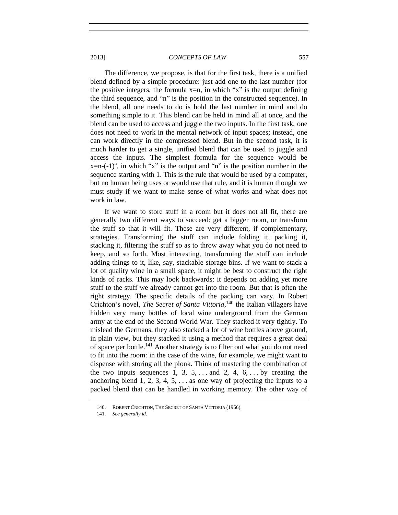The difference, we propose, is that for the first task, there is a unified blend defined by a simple procedure: just add one to the last number (for the positive integers, the formula  $x=n$ , in which "x" is the output defining the third sequence, and "n" is the position in the constructed sequence). In the blend, all one needs to do is hold the last number in mind and do something simple to it. This blend can be held in mind all at once, and the blend can be used to access and juggle the two inputs. In the first task, one does not need to work in the mental network of input spaces; instead, one can work directly in the compressed blend. But in the second task, it is much harder to get a single, unified blend that can be used to juggle and access the inputs. The simplest formula for the sequence would be  $x=n(-1)^n$ , in which "x" is the output and "n" is the position number in the sequence starting with 1. This is the rule that would be used by a computer, but no human being uses or would use that rule, and it is human thought we must study if we want to make sense of what works and what does not work in law.

If we want to store stuff in a room but it does not all fit, there are generally two different ways to succeed: get a bigger room, or transform the stuff so that it will fit. These are very different, if complementary, strategies. Transforming the stuff can include folding it, packing it, stacking it, filtering the stuff so as to throw away what you do not need to keep, and so forth. Most interesting, transforming the stuff can include adding things to it, like, say, stackable storage bins. If we want to stack a lot of quality wine in a small space, it might be best to construct the right kinds of racks. This may look backwards: it depends on adding yet more stuff to the stuff we already cannot get into the room. But that is often the right strategy. The specific details of the packing can vary. In Robert Crichton's novel, *The Secret of Santa Vittoria*,<sup>140</sup> the Italian villagers have hidden very many bottles of local wine underground from the German army at the end of the Second World War. They stacked it very tightly. To mislead the Germans, they also stacked a lot of wine bottles above ground, in plain view, but they stacked it using a method that requires a great deal of space per bottle.<sup>141</sup> Another strategy is to filter out what you do not need to fit into the room: in the case of the wine, for example, we might want to dispense with storing all the plonk. Think of mastering the combination of the two inputs sequences 1, 3, 5,  $\dots$  and 2, 4, 6,  $\dots$  by creating the anchoring blend 1, 2, 3, 4, 5,  $\dots$  as one way of projecting the inputs to a packed blend that can be handled in working memory. The other way of

<sup>140.</sup> ROBERT CRICHTON, THE SECRET OF SANTA VITTORIA (1966).

<sup>141.</sup> *See generally id.*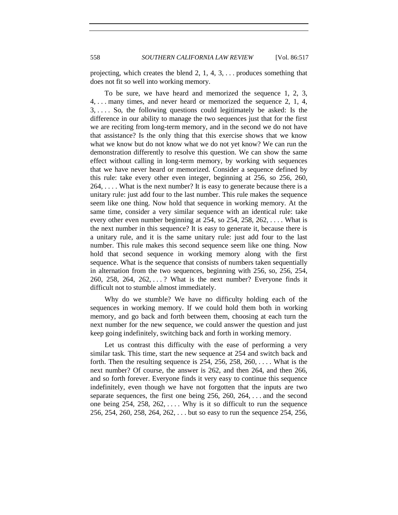projecting, which creates the blend 2, 1, 4, 3, . . . produces something that does not fit so well into working memory.

To be sure, we have heard and memorized the sequence 1, 2, 3, 4, . . . many times, and never heard or memorized the sequence 2, 1, 4, 3, . . . . So, the following questions could legitimately be asked: Is the difference in our ability to manage the two sequences just that for the first we are reciting from long-term memory, and in the second we do not have that assistance? Is the only thing that this exercise shows that we know what we know but do not know what we do not yet know? We can run the demonstration differently to resolve this question. We can show the same effect without calling in long-term memory, by working with sequences that we have never heard or memorized. Consider a sequence defined by this rule: take every other even integer, beginning at 256, so 256, 260,  $264, \ldots$ . What is the next number? It is easy to generate because there is a unitary rule: just add four to the last number. This rule makes the sequence seem like one thing. Now hold that sequence in working memory. At the same time, consider a very similar sequence with an identical rule: take every other even number beginning at 254, so 254, 258, 262,  $\dots$ . What is the next number in this sequence? It is easy to generate it, because there is a unitary rule, and it is the same unitary rule: just add four to the last number. This rule makes this second sequence seem like one thing. Now hold that second sequence in working memory along with the first sequence. What is the sequence that consists of numbers taken sequentially in alternation from the two sequences, beginning with 256, so, 256, 254, 260, 258, 264, 262, . . . ? What is the next number? Everyone finds it difficult not to stumble almost immediately.

Why do we stumble? We have no difficulty holding each of the sequences in working memory. If we could hold them both in working memory, and go back and forth between them, choosing at each turn the next number for the new sequence, we could answer the question and just keep going indefinitely, switching back and forth in working memory.

Let us contrast this difficulty with the ease of performing a very similar task. This time, start the new sequence at 254 and switch back and forth. Then the resulting sequence is  $254$ ,  $256$ ,  $258$ ,  $260$ , ... What is the next number? Of course, the answer is 262, and then 264, and then 266, and so forth forever. Everyone finds it very easy to continue this sequence indefinitely, even though we have not forgotten that the inputs are two separate sequences, the first one being 256, 260, 264, . . . and the second one being  $254$ ,  $258$ ,  $262$ , .... Why is it so difficult to run the sequence 256, 254, 260, 258, 264, 262, . . . but so easy to run the sequence 254, 256,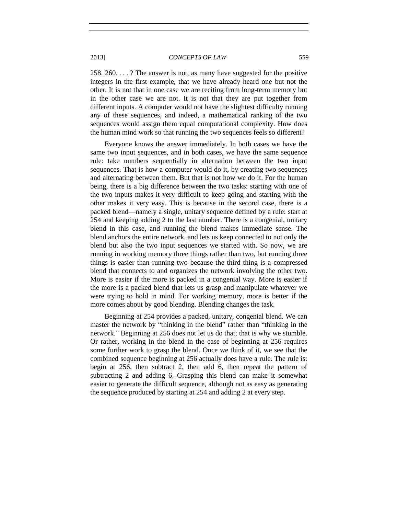258, 260, . . . ? The answer is not, as many have suggested for the positive integers in the first example, that we have already heard one but not the other. It is not that in one case we are reciting from long-term memory but in the other case we are not. It is not that they are put together from different inputs. A computer would not have the slightest difficulty running any of these sequences, and indeed, a mathematical ranking of the two sequences would assign them equal computational complexity. How does the human mind work so that running the two sequences feels so different?

Everyone knows the answer immediately. In both cases we have the same two input sequences, and in both cases, we have the same sequence rule: take numbers sequentially in alternation between the two input sequences. That is how a computer would do it, by creating two sequences and alternating between them. But that is not how we do it. For the human being, there is a big difference between the two tasks: starting with one of the two inputs makes it very difficult to keep going and starting with the other makes it very easy. This is because in the second case, there is a packed blend—namely a single, unitary sequence defined by a rule: start at 254 and keeping adding 2 to the last number. There is a congenial, unitary blend in this case, and running the blend makes immediate sense. The blend anchors the entire network, and lets us keep connected to not only the blend but also the two input sequences we started with. So now, we are running in working memory three things rather than two, but running three things is easier than running two because the third thing is a compressed blend that connects to and organizes the network involving the other two. More is easier if the more is packed in a congenial way. More is easier if the more is a packed blend that lets us grasp and manipulate whatever we were trying to hold in mind. For working memory, more is better if the more comes about by good blending. Blending changes the task.

Beginning at 254 provides a packed, unitary, congenial blend. We can master the network by "thinking in the blend" rather than "thinking in the network." Beginning at 256 does not let us do that; that is why we stumble. Or rather, working in the blend in the case of beginning at 256 requires some further work to grasp the blend. Once we think of it, we see that the combined sequence beginning at 256 actually does have a rule. The rule is: begin at 256, then subtract 2, then add 6, then repeat the pattern of subtracting 2 and adding 6. Grasping this blend can make it somewhat easier to generate the difficult sequence, although not as easy as generating the sequence produced by starting at 254 and adding 2 at every step.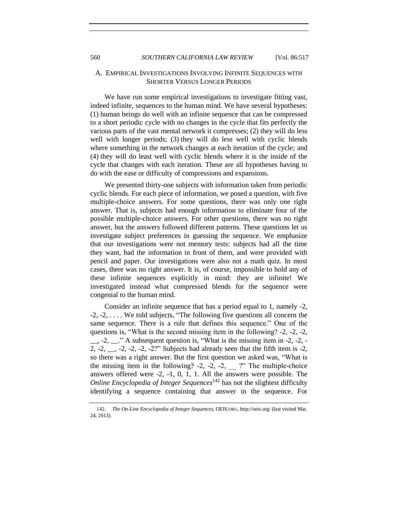# A. EMPIRICAL INVESTIGATIONS INVOLVING INFINITE SEQUENCES WITH SHORTER VERSUS LONGER PERIODS

We have run some empirical investigations to investigate fitting vast, indeed infinite, sequences to the human mind. We have several hypotheses: (1) human beings do well with an infinite sequence that can be compressed to a short periodic cycle with no changes in the cycle that fits perfectly the various parts of the vast mental network it compresses; (2) they will do less well with longer periods; (3) they will do less well with cyclic blends where something in the network changes at each iteration of the cycle; and (4) they will do least well with cyclic blends where it is the inside of the cycle that changes with each iteration. These are all hypotheses having to do with the ease or difficulty of compressions and expansions.

We presented thirty-one subjects with information taken from periodic cyclic blends. For each piece of information, we posed a question, with five multiple-choice answers. For some questions, there was only one right answer. That is, subjects had enough information to eliminate four of the possible multiple-choice answers. For other questions, there was no right answer, but the answers followed different patterns. These questions let us investigate subject preferences in guessing the sequence. We emphasize that our investigations were not memory tests: subjects had all the time they want, had the information in front of them, and were provided with pencil and paper. Our investigations were also not a math quiz. In most cases, there was no right answer. It is, of course, impossible to hold any of these infinite sequences explicitly in mind: they are infinite! We investigated instead what compressed blends for the sequence were congenial to the human mind.

Consider an infinite sequence that has a period equal to 1, namely -2, -2, -2, . . . . We told subjects, "The following five questions all concern the same sequence. There is a rule that defines this sequence." One of the questions is, "What is the second missing item in the following? -2, -2, -2,  $, -2,$   $\therefore$  " A subsequent question is, "What is the missing item in -2, -2, -2,  $-2$ ,  $-2$ ,  $-2$ ,  $-2$ ,  $-2$ ?" Subjects had already seen that the fifth item is  $-2$ , so there was a right answer. But the first question we asked was, "What is the missing item in the following?  $-2$ ,  $-2$ ,  $-2$ ,  $-2$ ,  $\cdots$ ?" The multiple-choice answers offered were -2, -1, 0, 1, 1. All the answers were possible. The *Online Encyclopedia of Integer Sequences*<sup>142</sup> has not the slightest difficulty identifying a sequence containing that answer in the sequence. For

<sup>142.</sup> *The On-Line Encyclopedia of Integer Sequences*, OEIS.ORG, http://oeis.org/ (last visited Mar. 24, 2013).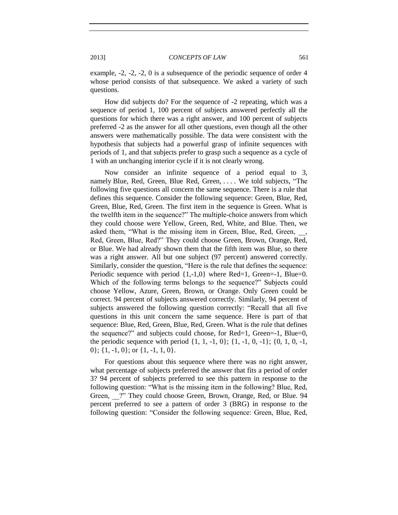example, -2, -2, -2, 0 is a subsequence of the periodic sequence of order 4 whose period consists of that subsequence. We asked a variety of such questions.

How did subjects do? For the sequence of -2 repeating, which was a sequence of period 1, 100 percent of subjects answered perfectly all the questions for which there was a right answer, and 100 percent of subjects preferred -2 as the answer for all other questions, even though all the other answers were mathematically possible. The data were consistent with the hypothesis that subjects had a powerful grasp of infinite sequences with periods of 1, and that subjects prefer to grasp such a sequence as a cycle of 1 with an unchanging interior cycle if it is not clearly wrong.

Now consider an infinite sequence of a period equal to 3, namely Blue, Red, Green, Blue Red, Green, . . . . We told subjects, "The following five questions all concern the same sequence. There is a rule that defines this sequence. Consider the following sequence: Green, Blue, Red, Green, Blue, Red, Green. The first item in the sequence is Green. What is the twelfth item in the sequence?" The multiple-choice answers from which they could choose were Yellow, Green, Red, White, and Blue. Then, we asked them, "What is the missing item in Green, Blue, Red, Green, Red, Green, Blue, Red?" They could choose Green, Brown, Orange, Red, or Blue. We had already shown them that the fifth item was Blue, so there was a right answer. All but one subject (97 percent) answered correctly. Similarly, consider the question, "Here is the rule that defines the sequence: Periodic sequence with period  $\{1,-1,0\}$  where Red=1, Green=-1, Blue=0. Which of the following terms belongs to the sequence?" Subjects could choose Yellow, Azure, Green, Brown, or Orange. Only Green could be correct. 94 percent of subjects answered correctly. Similarly, 94 percent of subjects answered the following question correctly: "Recall that all five questions in this unit concern the same sequence. Here is part of that sequence: Blue, Red, Green, Blue, Red, Green. What is the rule that defines the sequence?" and subjects could choose, for Red=1, Green=-1, Blue=0, the periodic sequence with period  $\{1, 1, -1, 0\}$ ;  $\{1, -1, 0, -1\}$ ;  $\{0, 1, 0, -1,$  $0$ ; {1, -1, 0}; or {1, -1, 1, 0}.

For questions about this sequence where there was no right answer, what percentage of subjects preferred the answer that fits a period of order 3? 94 percent of subjects preferred to see this pattern in response to the following question: "What is the missing item in the following? Blue, Red, Green, <sup>2</sup> They could choose Green, Brown, Orange, Red, or Blue. 94 percent preferred to see a pattern of order 3 (BRG) in response to the following question: "Consider the following sequence: Green, Blue, Red,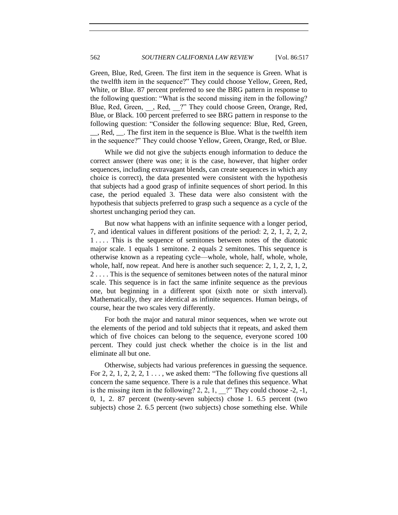Green, Blue, Red, Green. The first item in the sequence is Green. What is the twelfth item in the sequence?" They could choose Yellow, Green, Red, White, or Blue. 87 percent preferred to see the BRG pattern in response to the following question: "What is the second missing item in the following? Blue, Red, Green, \_\_, Red, \_\_?" They could choose Green, Orange, Red, Blue, or Black. 100 percent preferred to see BRG pattern in response to the following question: "Consider the following sequence: Blue, Red, Green, \_\_, Red, \_\_. The first item in the sequence is Blue. What is the twelfth item in the sequence?" They could choose Yellow, Green, Orange, Red, or Blue.

While we did not give the subjects enough information to deduce the correct answer (there was one; it is the case, however, that higher order sequences, including extravagant blends, can create sequences in which any choice is correct), the data presented were consistent with the hypothesis that subjects had a good grasp of infinite sequences of short period. In this case, the period equaled 3. These data were also consistent with the hypothesis that subjects preferred to grasp such a sequence as a cycle of the shortest unchanging period they can.

But now what happens with an infinite sequence with a longer period, 7, and identical values in different positions of the period: 2, 2, 1, 2, 2, 2, 1.... This is the sequence of semitones between notes of the diatonic major scale. 1 equals 1 semitone. 2 equals 2 semitones. This sequence is otherwise known as a repeating cycle—whole, whole, half, whole, whole, whole, half, now repeat. And here is another such sequence: 2, 1, 2, 2, 1, 2, 2 . . . . This is the sequence of semitones between notes of the natural minor scale. This sequence is in fact the same infinite sequence as the previous one, but beginning in a different spot (sixth note or sixth interval). Mathematically, they are identical as infinite sequences. Human beings, of course, hear the two scales very differently.

For both the major and natural minor sequences, when we wrote out the elements of the period and told subjects that it repeats, and asked them which of five choices can belong to the sequence, everyone scored 100 percent. They could just check whether the choice is in the list and eliminate all but one.

Otherwise, subjects had various preferences in guessing the sequence. For 2, 2, 1, 2, 2, 2, 1  $\dots$ , we asked them: "The following five questions all concern the same sequence. There is a rule that defines this sequence. What is the missing item in the following?  $2, 2, 1,$  ?" They could choose -2, -1, 0, 1, 2. 87 percent (twenty-seven subjects) chose 1. 6.5 percent (two subjects) chose 2. 6.5 percent (two subjects) chose something else. While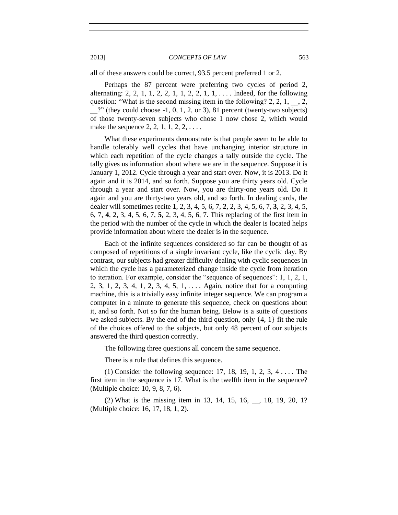all of these answers could be correct, 93.5 percent preferred 1 or 2.

Perhaps the 87 percent were preferring two cycles of period 2, alternating: 2, 2, 1, 1, 2, 2, 1, 1, 2, 2, 1, 1, ... . Indeed, for the following question: "What is the second missing item in the following? 2, 2, 1, \_\_, 2,  $?$ " (they could choose  $-1$ , 0, 1, 2, or 3), 81 percent (twenty-two subjects) of those twenty-seven subjects who chose 1 now chose 2, which would make the sequence  $2, 2, 1, 1, 2, 2, \ldots$ 

What these experiments demonstrate is that people seem to be able to handle tolerably well cycles that have unchanging interior structure in which each repetition of the cycle changes a tally outside the cycle. The tally gives us information about where we are in the sequence. Suppose it is January 1, 2012. Cycle through a year and start over. Now, it is 2013. Do it again and it is 2014, and so forth. Suppose you are thirty years old. Cycle through a year and start over. Now, you are thirty-one years old. Do it again and you are thirty-two years old, and so forth. In dealing cards, the dealer will sometimes recite **1**, 2, 3, 4, 5, 6, 7, **2**, 2, 3, 4, 5, 6, 7, **3**, 2, 3, 4, 5, 6, 7, **4**, 2, 3, 4, 5, 6, 7, **5**, 2, 3, 4, 5, 6, 7. This replacing of the first item in the period with the number of the cycle in which the dealer is located helps provide information about where the dealer is in the sequence.

Each of the infinite sequences considered so far can be thought of as composed of repetitions of a single invariant cycle, like the cyclic day. By contrast, our subjects had greater difficulty dealing with cyclic sequences in which the cycle has a parameterized change inside the cycle from iteration to iteration. For example, consider the "sequence of sequences": 1, 1, 2, 1, 2, 3, 1, 2, 3, 4, 1, 2, 3, 4, 5, 1, . . . . Again, notice that for a computing machine, this is a trivially easy infinite integer sequence. We can program a computer in a minute to generate this sequence, check on questions about it, and so forth. Not so for the human being. Below is a suite of questions we asked subjects. By the end of the third question, only {4, 1} fit the rule of the choices offered to the subjects, but only 48 percent of our subjects answered the third question correctly.

The following three questions all concern the same sequence.

There is a rule that defines this sequence.

(1) Consider the following sequence: 17, 18, 19, 1, 2, 3, 4 . . . . The first item in the sequence is 17. What is the twelfth item in the sequence? (Multiple choice: 10, 9, 8, 7, 6).

(2) What is the missing item in 13, 14, 15, 16, \_\_, 18, 19, 20, 1? (Multiple choice: 16, 17, 18, 1, 2).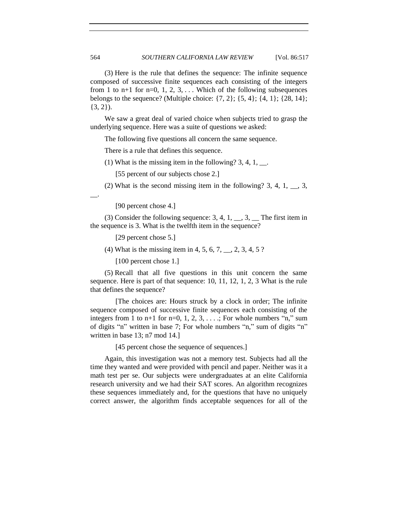(3) Here is the rule that defines the sequence: The infinite sequence composed of successive finite sequences each consisting of the integers from 1 to n+1 for n=0, 1, 2, 3,  $\dots$  Which of the following subsequences belongs to the sequence? (Multiple choice:  $\{7, 2\}$ ;  $\{5, 4\}$ ;  $\{4, 1\}$ ;  $\{28, 14\}$ ;  $\{3, 2\}.$ 

We saw a great deal of varied choice when subjects tried to grasp the underlying sequence. Here was a suite of questions we asked:

The following five questions all concern the same sequence.

There is a rule that defines this sequence.

(1) What is the missing item in the following?  $3, 4, 1, \dots$ .

[55 percent of our subjects chose 2.]

(2) What is the second missing item in the following? 3, 4, 1,  $\_\_$ , 3,

 $\overline{\phantom{a}}$ .

[90 percent chose 4.]

(3) Consider the following sequence: 3, 4, 1,  $\_,$  3,  $\_$  The first item in the sequence is 3. What is the twelfth item in the sequence?

[29 percent chose 5.]

(4) What is the missing item in 4, 5, 6, 7,  $\ldots$ , 2, 3, 4, 5 ?

[100 percent chose 1.]

(5) Recall that all five questions in this unit concern the same sequence. Here is part of that sequence: 10, 11, 12, 1, 2, 3 What is the rule that defines the sequence?

[The choices are: Hours struck by a clock in order; The infinite sequence composed of successive finite sequences each consisting of the integers from 1 to  $n+1$  for  $n=0, 1, 2, 3, \ldots$ ; For whole numbers "n," sum of digits "n" written in base 7; For whole numbers "n," sum of digits "n" written in base 13; n7 mod 14.]

[45 percent chose the sequence of sequences.]

Again, this investigation was not a memory test. Subjects had all the time they wanted and were provided with pencil and paper. Neither was it a math test per se. Our subjects were undergraduates at an elite California research university and we had their SAT scores. An algorithm recognizes these sequences immediately and, for the questions that have no uniquely correct answer, the algorithm finds acceptable sequences for all of the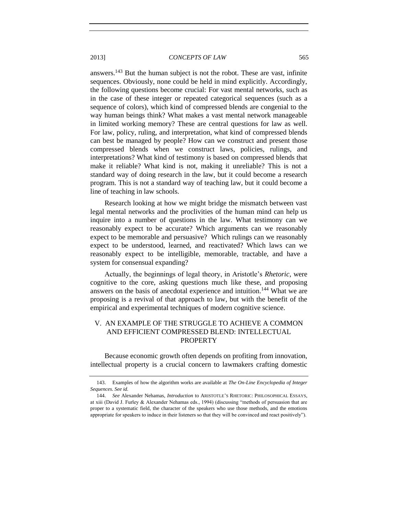answers.<sup>143</sup> But the human subject is not the robot. These are vast, infinite sequences. Obviously, none could be held in mind explicitly. Accordingly, the following questions become crucial: For vast mental networks, such as in the case of these integer or repeated categorical sequences (such as a sequence of colors), which kind of compressed blends are congenial to the way human beings think? What makes a vast mental network manageable in limited working memory? These are central questions for law as well. For law, policy, ruling, and interpretation, what kind of compressed blends can best be managed by people? How can we construct and present those compressed blends when we construct laws, policies, rulings, and interpretations? What kind of testimony is based on compressed blends that make it reliable? What kind is not, making it unreliable? This is not a standard way of doing research in the law, but it could become a research program. This is not a standard way of teaching law, but it could become a line of teaching in law schools.

Research looking at how we might bridge the mismatch between vast legal mental networks and the proclivities of the human mind can help us inquire into a number of questions in the law. What testimony can we reasonably expect to be accurate? Which arguments can we reasonably expect to be memorable and persuasive? Which rulings can we reasonably expect to be understood, learned, and reactivated? Which laws can we reasonably expect to be intelligible, memorable, tractable, and have a system for consensual expanding?

Actually, the beginnings of legal theory, in Aristotle's *Rhetoric*, were cognitive to the core, asking questions much like these, and proposing answers on the basis of anecdotal experience and intuition.<sup>144</sup> What we are proposing is a revival of that approach to law, but with the benefit of the empirical and experimental techniques of modern cognitive science.

# V. AN EXAMPLE OF THE STRUGGLE TO ACHIEVE A COMMON AND EFFICIENT COMPRESSED BLEND: INTELLECTUAL PROPERTY

Because economic growth often depends on profiting from innovation, intellectual property is a crucial concern to lawmakers crafting domestic

<sup>143.</sup> Examples of how the algorithm works are available at *The On-Line Encyclopedia of Integer Sequences*. *See id.* 

<sup>144.</sup> *See* Alexander Nehamas, *Introduction* to ARISTOTLE'S RHETORIC: PHILOSOPHICAL ESSAYS, at xiii (David J. Furley & Alexander Nehamas eds., 1994) (discussing "methods of persuasion that are proper to a systematic field, the character of the speakers who use those methods, and the emotions appropriate for speakers to induce in their listeners so that they will be convinced and react positively").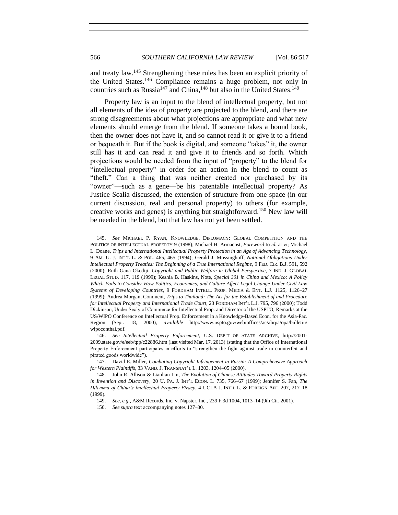and treaty law.<sup>145</sup> Strengthening these rules has been an explicit priority of the United States.<sup>146</sup> Compliance remains a huge problem, not only in countries such as Russia<sup>147</sup> and China,<sup>148</sup> but also in the United States.<sup>149</sup>

Property law is an input to the blend of intellectual property, but not all elements of the idea of property are projected to the blend, and there are strong disagreements about what projections are appropriate and what new elements should emerge from the blend. If someone takes a bound book, then the owner does not have it, and so cannot read it or give it to a friend or bequeath it. But if the book is digital, and someone "takes" it, the owner still has it and can read it and give it to friends and so forth. Which projections would be needed from the input of "property" to the blend for "intellectual property" in order for an action in the blend to count as "theft." Can a thing that was neither created nor purchased by its "owner"—such as a gene—be his patentable intellectual property? As Justice Scalia discussed, the extension of structure from one space (in our current discussion, real and personal property) to others (for example, creative works and genes) is anything but straightforward.<sup>150</sup> New law will be needed in the blend, but that law has not yet been settled.

<sup>145.</sup> *See* MICHAEL P. RYAN, KNOWLEDGE, DIPLOMACY: GLOBAL COMPETITION AND THE POLITICS OF INTELLECTUAL PROPERTY 9 (1998); Michael H. Armacost, *Foreword* to *id.* at vi; Michael L. Doane, *Trips and International Intellectual Property Protection in an Age of Advancing Technology*, 9 AM. U. J. INT'L L. & POL. 465, 465 (1994); Gerald J. Mossinghoff, *National Obligations Under Intellectual Property Treaties: The Beginning of a True International Regime*, 9 FED. CIR. B.J. 591, 592 (2000); Ruth Gana Okediji, *Copyright and Public Welfare in Global Perspective*, 7 IND. J. GLOBAL LEGAL STUD. 117, 119 (1999); Keshia B. Haskins, Note, *Special 301 in China and Mexico: A Policy Which Fails to Consider How Politics, Economics, and Culture Affect Legal Change Under Civil Law Systems of Developing Countries*, 9 FORDHAM INTELL. PROP. MEDIA & ENT. L.J. 1125, 1126–27 (1999); Andrea Morgan, Comment, *Trips to Thailand: The Act for the Establishment of and Procedure for Intellectual Property and International Trade Court*, 23 FORDHAM INT'L L.J. 795, 796 (2000); Todd Dickinson, Under Sec'y of Commerce for Intellectual Prop. and Director of the USPTO, Remarks at the US/WIPO Conference on Intellectual Prop. Enforcement in a Knowledge-Based Econ. for the Asia-Pac. Region (Sept. 18, 2000), *available* http://www.uspto.gov/web/offices/ac/ahrpa/opa/bulletin/ wipoconthai.pdf.

<sup>146.</sup> *See Intellectual Property Enforcement*, U.S. DEP'T OF STATE ARCHIVE, http://2001- 2009.state.gov/e/eeb/tpp/c22886.htm (last visited Mar. 17, 2013) (stating that the Office of International Property Enforcement participates in efforts to "strengthen the fight against trade in counterfeit and pirated goods worldwide").

<sup>147.</sup> David E. Miller, *Combating Copyright Infringement in Russia: A Comprehensive Approach for Western Plaintiffs*, 33 VAND. J. TRANSNAT'L L. 1203, 1204–05 (2000).

<sup>148.</sup> John R. Allison & Lianlian Lin, *The Evolution of Chinese Attitudes Toward Property Rights in Invention and Discovery*, 20 U. PA. J. INT'L ECON. L. 735, 766–67 (1999); Jennifer S. Fan, *The Dilemma of China's Intellectual Property Piracy*, 4 UCLA J. INT'L L. & FOREIGN AFF. 207, 217–18 (1999).

<sup>149.</sup> *See, e.g.*, A&M Records, Inc. v. Napster, Inc., 239 F.3d 1004, 1013–14 (9th Cir. 2001).

<sup>150.</sup> *See supra* text accompanying notes [127–](#page-34-0)[30.](#page-35-0)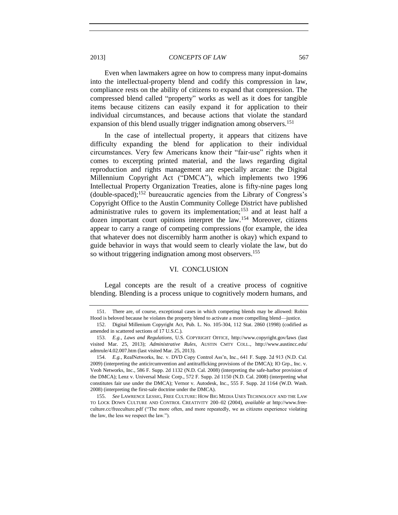Even when lawmakers agree on how to compress many input-domains into the intellectual-property blend and codify this compression in law, compliance rests on the ability of citizens to expand that compression. The compressed blend called "property" works as well as it does for tangible items because citizens can easily expand it for application to their individual circumstances, and because actions that violate the standard expansion of this blend usually trigger indignation among observers.<sup>151</sup>

In the case of intellectual property, it appears that citizens have difficulty expanding the blend for application to their individual circumstances. Very few Americans know their "fair-use" rights when it comes to excerpting printed material, and the laws regarding digital reproduction and rights management are especially arcane: the Digital Millennium Copyright Act ("DMCA"), which implements two 1996 Intellectual Property Organization Treaties, alone is fifty-nine pages long  $(double-spaced);$ <sup>152</sup> bureaucratic agencies from the Library of Congress's Copyright Office to the Austin Community College District have published administrative rules to govern its implementation;<sup>153</sup> and at least half a dozen important court opinions interpret the law.<sup>154</sup> Moreover, citizens appear to carry a range of competing compressions (for example, the idea that whatever does not discernibly harm another is okay) which expand to guide behavior in ways that would seem to clearly violate the law, but do so without triggering indignation among most observers.<sup>155</sup>

#### VI. CONCLUSION

Legal concepts are the result of a creative process of cognitive blending. Blending is a process unique to cognitively modern humans, and

<sup>151.</sup> There are, of course, exceptional cases in which competing blends may be allowed: Robin Hood is beloved because he violates the property blend to activate a more compelling blend—justice.

<sup>152.</sup> Digital Millenium Copyright Act, Pub. L. No. 105-304, 112 Stat. 2860 (1998) (codified as amended in scattered sections of 17 U.S.C.).

<sup>153.</sup> *E.g.*, *Laws and Regulations*, U.S. COPYRIGHT OFFICE, http://www.copyright.gov/laws (last visited Mar. 25, 2013); *Administrative Rules*, AUSTIN CMTY COLL., http://www.austincc.edu/ admrule/4.02.007.htm (last visited Mar. 25, 2013).

<sup>154.</sup> *E.g.*, RealNetworks, Inc. v. DVD Copy Control Ass'n, Inc., 641 F. Supp. 2d 913 (N.D. Cal. 2009) (interpreting the anticircumvention and antitrafficking provisions of the DMCA); IO Grp., Inc. v. Veoh Networks, Inc., 586 F. Supp. 2d 1132 (N.D. Cal. 2008) (interpreting the safe-harbor provision of the DMCA); Lenz v. Universal Music Corp., 572 F. Supp. 2d 1150 (N.D. Cal. 2008) (interpreting what constitutes fair use under the DMCA); Vernor v. Autodesk, Inc., 555 F. Supp. 2d 1164 (W.D. Wash. 2008) (interpreting the first-sale doctrine under the DMCA).

<sup>155.</sup> *See* LAWRENCE LESSIG, FREE CULTURE: HOW BIG MEDIA USES TECHNOLOGY AND THE LAW TO LOCK DOWN CULTURE AND CONTROL CREATIVITY 200–02 (2004), *available at* http://www.freeculture.cc/freeculture.pdf ("The more often, and more repeatedly, we as citizens experience violating the law, the less we respect the law.").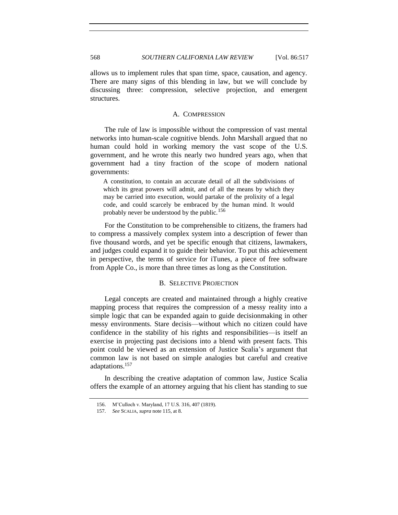allows us to implement rules that span time, space, causation, and agency. There are many signs of this blending in law, but we will conclude by discussing three: compression, selective projection, and emergent structures.

# A. COMPRESSION

The rule of law is impossible without the compression of vast mental networks into human-scale cognitive blends. John Marshall argued that no human could hold in working memory the vast scope of the U.S. government, and he wrote this nearly two hundred years ago, when that government had a tiny fraction of the scope of modern national governments:

A constitution, to contain an accurate detail of all the subdivisions of which its great powers will admit, and of all the means by which they may be carried into execution, would partake of the prolixity of a legal code, and could scarcely be embraced by the human mind. It would probably never be understood by the public.<sup>156</sup>

For the Constitution to be comprehensible to citizens, the framers had to compress a massively complex system into a description of fewer than five thousand words, and yet be specific enough that citizens, lawmakers, and judges could expand it to guide their behavior. To put this achievement in perspective, the terms of service for iTunes, a piece of free software from Apple Co., is more than three times as long as the Constitution.

# B. SELECTIVE PROJECTION

Legal concepts are created and maintained through a highly creative mapping process that requires the compression of a messy reality into a simple logic that can be expanded again to guide decisionmaking in other messy environments. Stare decisis—without which no citizen could have confidence in the stability of his rights and responsibilities—is itself an exercise in projecting past decisions into a blend with present facts. This point could be viewed as an extension of Justice Scalia's argument that common law is not based on simple analogies but careful and creative adaptations.<sup>157</sup>

In describing the creative adaptation of common law, Justice Scalia offers the example of an attorney arguing that his client has standing to sue

<sup>156.</sup> M'Culloch v. Maryland, 17 U.S. 316, 407 (1819).

<sup>157.</sup> *See* SCALIA, *supra* note 115, at 8.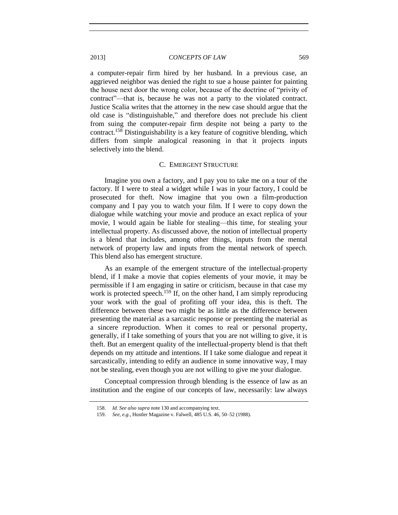a computer-repair firm hired by her husband. In a previous case, an aggrieved neighbor was denied the right to sue a house painter for painting the house next door the wrong color, because of the doctrine of "privity of contract"—that is, because he was not a party to the violated contract. Justice Scalia writes that the attorney in the new case should argue that the old case is "distinguishable," and therefore does not preclude his client from suing the computer-repair firm despite not being a party to the contract.<sup>158</sup> Distinguishability is a key feature of cognitive blending, which differs from simple analogical reasoning in that it projects inputs selectively into the blend.

## C. EMERGENT STRUCTURE

Imagine you own a factory, and I pay you to take me on a tour of the factory. If I were to steal a widget while I was in your factory, I could be prosecuted for theft. Now imagine that you own a film-production company and I pay you to watch your film. If I were to copy down the dialogue while watching your movie and produce an exact replica of your movie, I would again be liable for stealing—this time, for stealing your intellectual property. As discussed above, the notion of intellectual property is a blend that includes, among other things, inputs from the mental network of property law and inputs from the mental network of speech. This blend also has emergent structure.

As an example of the emergent structure of the intellectual-property blend, if I make a movie that copies elements of your movie, it may be permissible if I am engaging in satire or criticism, because in that case my work is protected speech.<sup>159</sup> If, on the other hand, I am simply reproducing your work with the goal of profiting off your idea, this is theft. The difference between these two might be as little as the difference between presenting the material as a sarcastic response or presenting the material as a sincere reproduction. When it comes to real or personal property, generally, if I take something of yours that you are not willing to give, it is theft. But an emergent quality of the intellectual-property blend is that theft depends on my attitude and intentions. If I take some dialogue and repeat it sarcastically, intending to edify an audience in some innovative way, I may not be stealing, even though you are not willing to give me your dialogue.

Conceptual compression through blending is the essence of law as an institution and the engine of our concepts of law, necessarily: law always

<sup>158.</sup> *Id. See also supra* not[e 130](#page-35-0) and accompanying text.

<sup>159.</sup> *See, e.g.*, Hustler Magazine v. Falwell, 485 U.S. 46, 50–52 (1988).